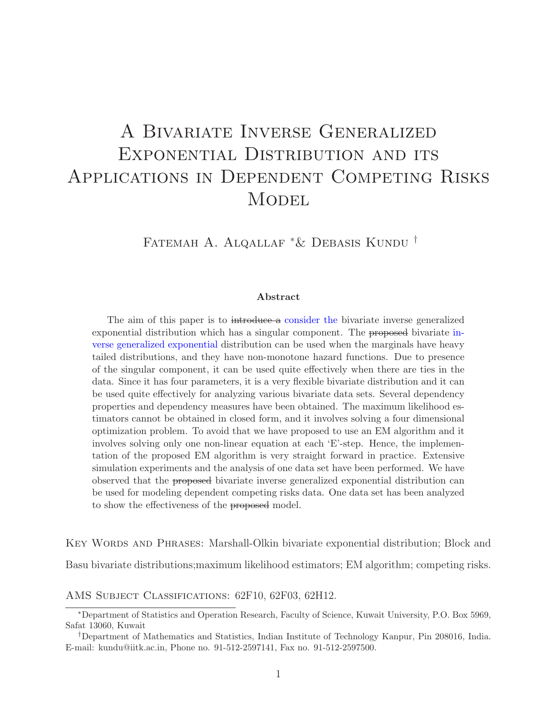# A Bivariate Inverse Generalized EXPONENTIAL DISTRIBUTION AND ITS Applications in Dependent Competing Risks **MODEL**

Fatemah A. Alqallaf <sup>∗</sup>& Debasis Kundu †

#### Abstract

The aim of this paper is to introduce a consider the bivariate inverse generalized exponential distribution which has a singular component. The proposed bivariate inverse generalized exponential distribution can be used when the marginals have heavy tailed distributions, and they have non-monotone hazard functions. Due to presence of the singular component, it can be used quite effectively when there are ties in the data. Since it has four parameters, it is a very flexible bivariate distribution and it can be used quite effectively for analyzing various bivariate data sets. Several dependency properties and dependency measures have been obtained. The maximum likelihood estimators cannot be obtained in closed form, and it involves solving a four dimensional optimization problem. To avoid that we have proposed to use an EM algorithm and it involves solving only one non-linear equation at each 'E'-step. Hence, the implementation of the proposed EM algorithm is very straight forward in practice. Extensive simulation experiments and the analysis of one data set have been performed. We have observed that the proposed bivariate inverse generalized exponential distribution can be used for modeling dependent competing risks data. One data set has been analyzed to show the effectiveness of the proposed model.

Key Words and Phrases: Marshall-Olkin bivariate exponential distribution; Block and Basu bivariate distributions;maximum likelihood estimators; EM algorithm; competing risks.

AMS Subject Classifications: 62F10, 62F03, 62H12.

<sup>∗</sup>Department of Statistics and Operation Research, Faculty of Science, Kuwait University, P.O. Box 5969, Safat 13060, Kuwait

<sup>†</sup>Department of Mathematics and Statistics, Indian Institute of Technology Kanpur, Pin 208016, India. E-mail: kundu@iitk.ac.in, Phone no. 91-512-2597141, Fax no. 91-512-2597500.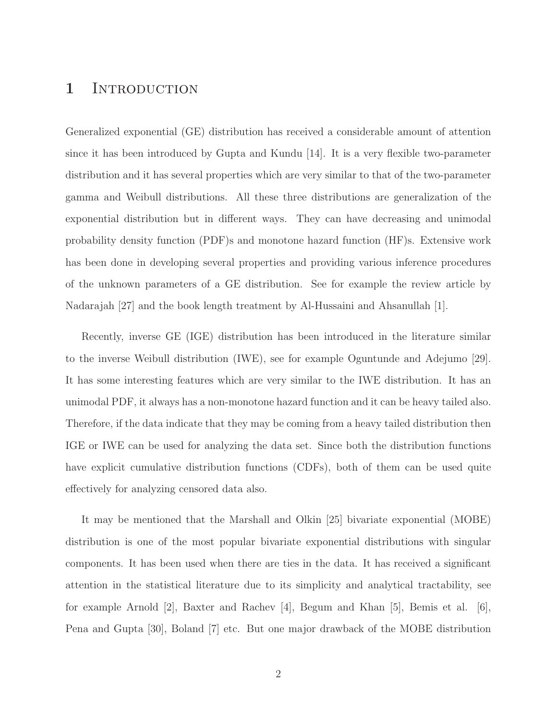### 1 INTRODUCTION

Generalized exponential (GE) distribution has received a considerable amount of attention since it has been introduced by Gupta and Kundu [14]. It is a very flexible two-parameter distribution and it has several properties which are very similar to that of the two-parameter gamma and Weibull distributions. All these three distributions are generalization of the exponential distribution but in different ways. They can have decreasing and unimodal probability density function (PDF)s and monotone hazard function (HF)s. Extensive work has been done in developing several properties and providing various inference procedures of the unknown parameters of a GE distribution. See for example the review article by Nadarajah [27] and the book length treatment by Al-Hussaini and Ahsanullah [1].

Recently, inverse GE (IGE) distribution has been introduced in the literature similar to the inverse Weibull distribution (IWE), see for example Oguntunde and Adejumo [29]. It has some interesting features which are very similar to the IWE distribution. It has an unimodal PDF, it always has a non-monotone hazard function and it can be heavy tailed also. Therefore, if the data indicate that they may be coming from a heavy tailed distribution then IGE or IWE can be used for analyzing the data set. Since both the distribution functions have explicit cumulative distribution functions (CDFs), both of them can be used quite effectively for analyzing censored data also.

It may be mentioned that the Marshall and Olkin [25] bivariate exponential (MOBE) distribution is one of the most popular bivariate exponential distributions with singular components. It has been used when there are ties in the data. It has received a significant attention in the statistical literature due to its simplicity and analytical tractability, see for example Arnold [2], Baxter and Rachev [4], Begum and Khan [5], Bemis et al. [6], Pena and Gupta [30], Boland [7] etc. But one major drawback of the MOBE distribution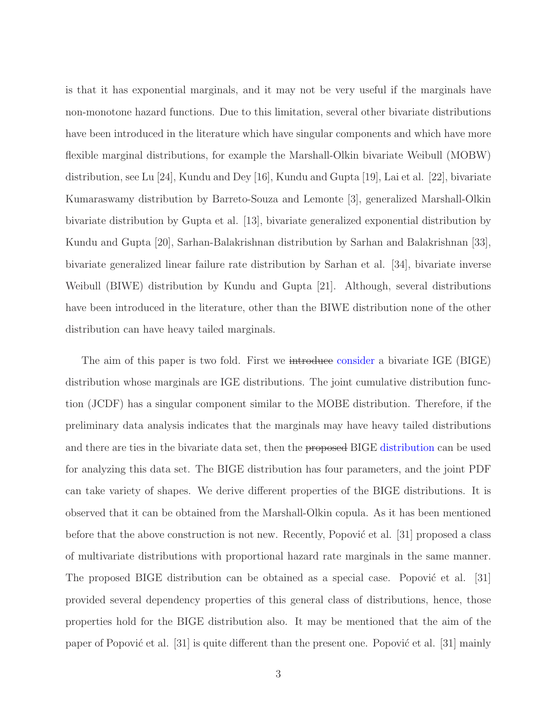is that it has exponential marginals, and it may not be very useful if the marginals have non-monotone hazard functions. Due to this limitation, several other bivariate distributions have been introduced in the literature which have singular components and which have more flexible marginal distributions, for example the Marshall-Olkin bivariate Weibull (MOBW) distribution, see Lu [24], Kundu and Dey [16], Kundu and Gupta [19], Lai et al. [22], bivariate Kumaraswamy distribution by Barreto-Souza and Lemonte [3], generalized Marshall-Olkin bivariate distribution by Gupta et al. [13], bivariate generalized exponential distribution by Kundu and Gupta [20], Sarhan-Balakrishnan distribution by Sarhan and Balakrishnan [33], bivariate generalized linear failure rate distribution by Sarhan et al. [34], bivariate inverse Weibull (BIWE) distribution by Kundu and Gupta [21]. Although, several distributions have been introduced in the literature, other than the BIWE distribution none of the other distribution can have heavy tailed marginals.

The aim of this paper is two fold. First we introduce consider a bivariate IGE (BIGE) distribution whose marginals are IGE distributions. The joint cumulative distribution function (JCDF) has a singular component similar to the MOBE distribution. Therefore, if the preliminary data analysis indicates that the marginals may have heavy tailed distributions and there are ties in the bivariate data set, then the proposed BIGE distribution can be used for analyzing this data set. The BIGE distribution has four parameters, and the joint PDF can take variety of shapes. We derive different properties of the BIGE distributions. It is observed that it can be obtained from the Marshall-Olkin copula. As it has been mentioned before that the above construction is not new. Recently, Popović et al.  $[31]$  proposed a class of multivariate distributions with proportional hazard rate marginals in the same manner. The proposed BIGE distribution can be obtained as a special case. Popović et al.  $[31]$ provided several dependency properties of this general class of distributions, hence, those properties hold for the BIGE distribution also. It may be mentioned that the aim of the paper of Popović et al. [31] is quite different than the present one. Popović et al. [31] mainly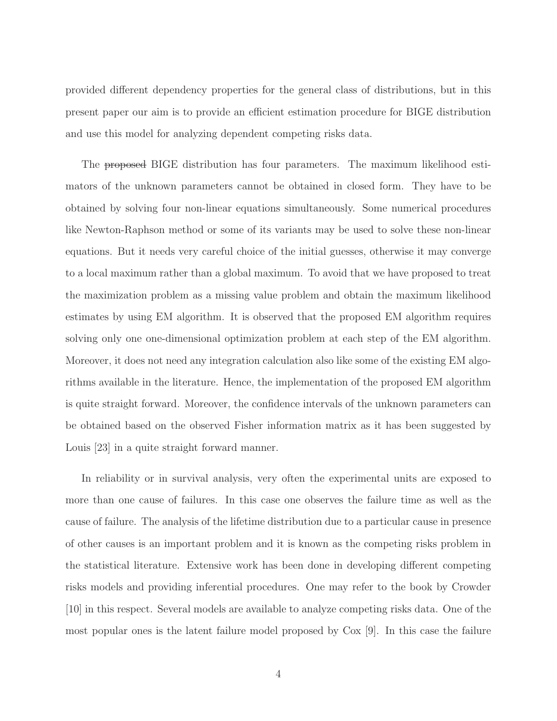provided different dependency properties for the general class of distributions, but in this present paper our aim is to provide an efficient estimation procedure for BIGE distribution and use this model for analyzing dependent competing risks data.

The proposed BIGE distribution has four parameters. The maximum likelihood estimators of the unknown parameters cannot be obtained in closed form. They have to be obtained by solving four non-linear equations simultaneously. Some numerical procedures like Newton-Raphson method or some of its variants may be used to solve these non-linear equations. But it needs very careful choice of the initial guesses, otherwise it may converge to a local maximum rather than a global maximum. To avoid that we have proposed to treat the maximization problem as a missing value problem and obtain the maximum likelihood estimates by using EM algorithm. It is observed that the proposed EM algorithm requires solving only one one-dimensional optimization problem at each step of the EM algorithm. Moreover, it does not need any integration calculation also like some of the existing EM algorithms available in the literature. Hence, the implementation of the proposed EM algorithm is quite straight forward. Moreover, the confidence intervals of the unknown parameters can be obtained based on the observed Fisher information matrix as it has been suggested by Louis [23] in a quite straight forward manner.

In reliability or in survival analysis, very often the experimental units are exposed to more than one cause of failures. In this case one observes the failure time as well as the cause of failure. The analysis of the lifetime distribution due to a particular cause in presence of other causes is an important problem and it is known as the competing risks problem in the statistical literature. Extensive work has been done in developing different competing risks models and providing inferential procedures. One may refer to the book by Crowder [10] in this respect. Several models are available to analyze competing risks data. One of the most popular ones is the latent failure model proposed by Cox [9]. In this case the failure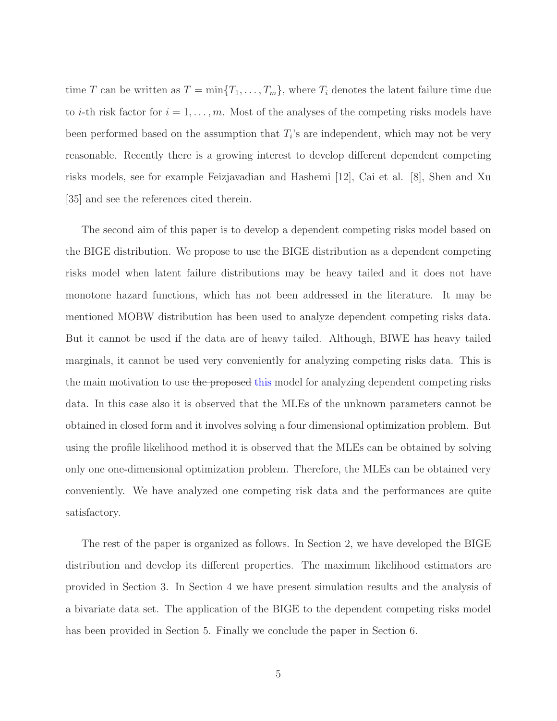time T can be written as  $T = \min\{T_1, \ldots, T_m\}$ , where  $T_i$  denotes the latent failure time due to *i*-th risk factor for  $i = 1, \ldots, m$ . Most of the analyses of the competing risks models have been performed based on the assumption that  $T_i$ 's are independent, which may not be very reasonable. Recently there is a growing interest to develop different dependent competing risks models, see for example Feizjavadian and Hashemi [12], Cai et al. [8], Shen and Xu [35] and see the references cited therein.

The second aim of this paper is to develop a dependent competing risks model based on the BIGE distribution. We propose to use the BIGE distribution as a dependent competing risks model when latent failure distributions may be heavy tailed and it does not have monotone hazard functions, which has not been addressed in the literature. It may be mentioned MOBW distribution has been used to analyze dependent competing risks data. But it cannot be used if the data are of heavy tailed. Although, BIWE has heavy tailed marginals, it cannot be used very conveniently for analyzing competing risks data. This is the main motivation to use the proposed this model for analyzing dependent competing risks data. In this case also it is observed that the MLEs of the unknown parameters cannot be obtained in closed form and it involves solving a four dimensional optimization problem. But using the profile likelihood method it is observed that the MLEs can be obtained by solving only one one-dimensional optimization problem. Therefore, the MLEs can be obtained very conveniently. We have analyzed one competing risk data and the performances are quite satisfactory.

The rest of the paper is organized as follows. In Section 2, we have developed the BIGE distribution and develop its different properties. The maximum likelihood estimators are provided in Section 3. In Section 4 we have present simulation results and the analysis of a bivariate data set. The application of the BIGE to the dependent competing risks model has been provided in Section 5. Finally we conclude the paper in Section 6.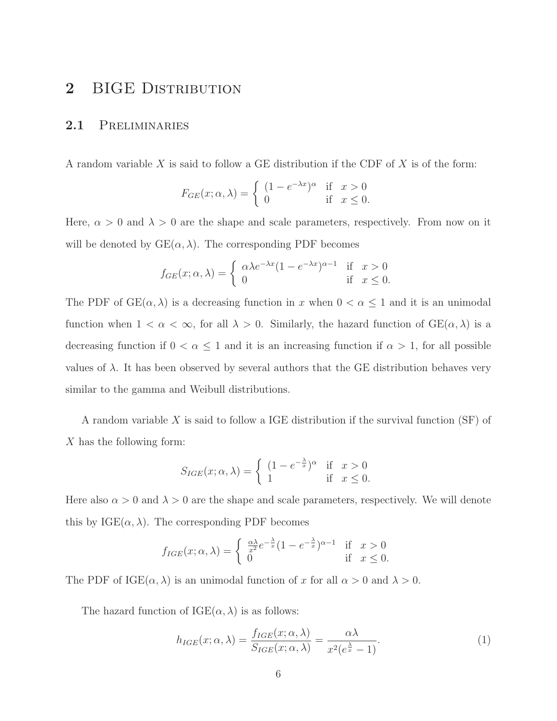# 2 BIGE DISTRIBUTION

#### 2.1 PRELIMINARIES

A random variable  $X$  is said to follow a GE distribution if the CDF of  $X$  is of the form:

$$
F_{GE}(x; \alpha, \lambda) = \begin{cases} (1 - e^{-\lambda x})^{\alpha} & \text{if } x > 0 \\ 0 & \text{if } x \le 0. \end{cases}
$$

Here,  $\alpha > 0$  and  $\lambda > 0$  are the shape and scale parameters, respectively. From now on it will be denoted by  $GE(\alpha, \lambda)$ . The corresponding PDF becomes

$$
f_{GE}(x; \alpha, \lambda) = \begin{cases} \alpha \lambda e^{-\lambda x} (1 - e^{-\lambda x})^{\alpha - 1} & \text{if } x > 0 \\ 0 & \text{if } x \le 0. \end{cases}
$$

The PDF of  $GE(\alpha, \lambda)$  is a decreasing function in x when  $0 < \alpha \leq 1$  and it is an unimodal function when  $1 < \alpha < \infty$ , for all  $\lambda > 0$ . Similarly, the hazard function of  $GE(\alpha, \lambda)$  is a decreasing function if  $0 < \alpha \leq 1$  and it is an increasing function if  $\alpha > 1$ , for all possible values of  $\lambda$ . It has been observed by several authors that the GE distribution behaves very similar to the gamma and Weibull distributions.

A random variable X is said to follow a IGE distribution if the survival function (SF) of X has the following form:

$$
S_{IGE}(x; \alpha, \lambda) = \begin{cases} (1 - e^{-\frac{\lambda}{x}})^{\alpha} & \text{if } x > 0 \\ 1 & \text{if } x \le 0. \end{cases}
$$

Here also  $\alpha > 0$  and  $\lambda > 0$  are the shape and scale parameters, respectively. We will denote this by  $IGE(\alpha, \lambda)$ . The corresponding PDF becomes

$$
f_{IGE}(x; \alpha, \lambda) = \begin{cases} \frac{\alpha \lambda}{x^2} e^{-\frac{\lambda}{x}} (1 - e^{-\frac{\lambda}{x}})^{\alpha - 1} & \text{if } x > 0\\ 0 & \text{if } x \le 0. \end{cases}
$$

The PDF of IGE( $\alpha$ ,  $\lambda$ ) is an unimodal function of x for all  $\alpha > 0$  and  $\lambda > 0$ .

The hazard function of  $IGE(\alpha, \lambda)$  is as follows:

$$
h_{IGE}(x; \alpha, \lambda) = \frac{f_{IGE}(x; \alpha, \lambda)}{S_{IGE}(x; \alpha, \lambda)} = \frac{\alpha \lambda}{x^2 (e^{\frac{\lambda}{x}} - 1)}.
$$
 (1)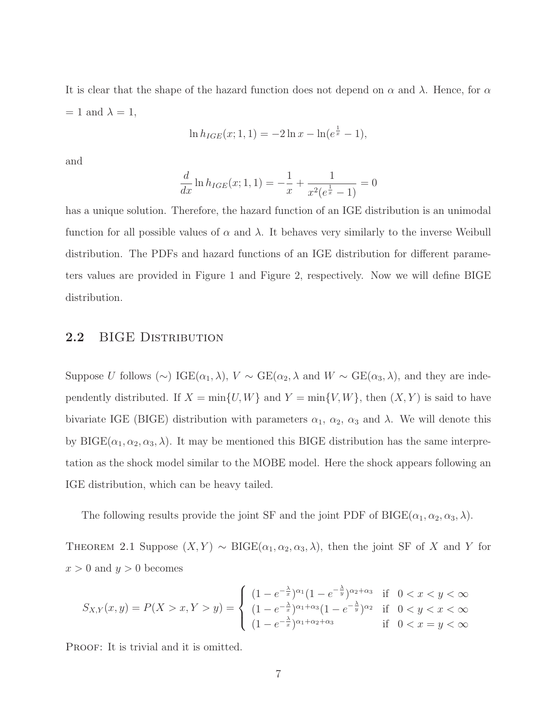It is clear that the shape of the hazard function does not depend on  $\alpha$  and  $\lambda$ . Hence, for  $\alpha$  $= 1$  and  $\lambda = 1$ ,

$$
\ln h_{IGE}(x; 1, 1) = -2\ln x - \ln(e^{\frac{1}{x}} - 1),
$$

and

$$
\frac{d}{dx}\ln h_{IGE}(x; 1, 1) = -\frac{1}{x} + \frac{1}{x^2(e^{\frac{1}{x}} - 1)} = 0
$$

has a unique solution. Therefore, the hazard function of an IGE distribution is an unimodal function for all possible values of  $\alpha$  and  $\lambda$ . It behaves very similarly to the inverse Weibull distribution. The PDFs and hazard functions of an IGE distribution for different parameters values are provided in Figure 1 and Figure 2, respectively. Now we will define BIGE distribution.

#### 2.2 BIGE DISTRIBUTION

Suppose U follows (∼) IGE( $\alpha_1, \lambda$ ),  $V \sim \text{GE}(\alpha_2, \lambda)$  and  $W \sim \text{GE}(\alpha_3, \lambda)$ , and they are independently distributed. If  $X = min{U, W}$  and  $Y = min{V, W}$ , then  $(X, Y)$  is said to have bivariate IGE (BIGE) distribution with parameters  $\alpha_1$ ,  $\alpha_2$ ,  $\alpha_3$  and  $\lambda$ . We will denote this by BIGE( $\alpha_1, \alpha_2, \alpha_3, \lambda$ ). It may be mentioned this BIGE distribution has the same interpretation as the shock model similar to the MOBE model. Here the shock appears following an IGE distribution, which can be heavy tailed.

The following results provide the joint SF and the joint PDF of BIGE( $\alpha_1, \alpha_2, \alpha_3, \lambda$ ).

THEOREM 2.1 Suppose  $(X, Y) \sim \text{BIGE}(\alpha_1, \alpha_2, \alpha_3, \lambda)$ , then the joint SF of X and Y for  $x > 0$  and  $y > 0$  becomes

$$
S_{X,Y}(x,y) = P(X > x, Y > y) = \begin{cases} (1 - e^{-\frac{\lambda}{x}})^{\alpha_1} (1 - e^{-\frac{\lambda}{y}})^{\alpha_2 + \alpha_3} & \text{if } 0 < x < y < \infty \\ (1 - e^{-\frac{\lambda}{x}})^{\alpha_1 + \alpha_3} (1 - e^{-\frac{\lambda}{y}})^{\alpha_2} & \text{if } 0 < y < x < \infty \\ (1 - e^{-\frac{\lambda}{x}})^{\alpha_1 + \alpha_2 + \alpha_3} & \text{if } 0 < x = y < \infty \end{cases}
$$

PROOF: It is trivial and it is omitted.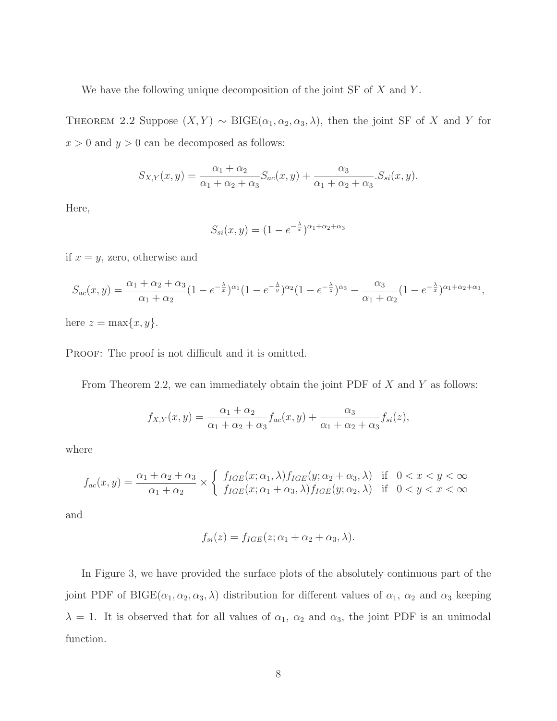We have the following unique decomposition of the joint  $SF$  of  $X$  and  $Y$ .

THEOREM 2.2 Suppose  $(X, Y) \sim \text{BIGE}(\alpha_1, \alpha_2, \alpha_3, \lambda)$ , then the joint SF of X and Y for  $x > 0$  and  $y > 0$  can be decomposed as follows:

$$
S_{X,Y}(x,y) = \frac{\alpha_1 + \alpha_2}{\alpha_1 + \alpha_2 + \alpha_3} S_{ac}(x,y) + \frac{\alpha_3}{\alpha_1 + \alpha_2 + \alpha_3} S_{si}(x,y).
$$

Here,

$$
S_{si}(x,y) = (1 - e^{-\frac{\lambda}{x}})^{\alpha_1 + \alpha_2 + \alpha_3}
$$

if  $x = y$ , zero, otherwise and

$$
S_{ac}(x,y) = \frac{\alpha_1 + \alpha_2 + \alpha_3}{\alpha_1 + \alpha_2} (1 - e^{-\frac{\lambda}{x}})^{\alpha_1} (1 - e^{-\frac{\lambda}{y}})^{\alpha_2} (1 - e^{-\frac{\lambda}{z}})^{\alpha_3} - \frac{\alpha_3}{\alpha_1 + \alpha_2} (1 - e^{-\frac{\lambda}{x}})^{\alpha_1 + \alpha_2 + \alpha_3},
$$

here  $z = \max\{x, y\}.$ 

PROOF: The proof is not difficult and it is omitted.

From Theorem 2.2, we can immediately obtain the joint PDF of  $X$  and  $Y$  as follows:

$$
f_{X,Y}(x,y) = \frac{\alpha_1 + \alpha_2}{\alpha_1 + \alpha_2 + \alpha_3} f_{ac}(x,y) + \frac{\alpha_3}{\alpha_1 + \alpha_2 + \alpha_3} f_{si}(z),
$$

where

$$
f_{ac}(x,y) = \frac{\alpha_1 + \alpha_2 + \alpha_3}{\alpha_1 + \alpha_2} \times \left\{ \begin{array}{lcl} f_{IGE}(x;\alpha_1,\lambda) f_{IGE}(y;\alpha_2+\alpha_3,\lambda) & \text{if} & 0 < x < y < \infty \\ f_{IGE}(x;\alpha_1+\alpha_3,\lambda) f_{IGE}(y;\alpha_2,\lambda) & \text{if} & 0 < y < x < \infty \end{array} \right.
$$

and

$$
f_{si}(z) = f_{IGE}(z; \alpha_1 + \alpha_2 + \alpha_3, \lambda).
$$

In Figure 3, we have provided the surface plots of the absolutely continuous part of the joint PDF of BIGE( $\alpha_1, \alpha_2, \alpha_3, \lambda$ ) distribution for different values of  $\alpha_1, \alpha_2$  and  $\alpha_3$  keeping  $\lambda = 1$ . It is observed that for all values of  $\alpha_1$ ,  $\alpha_2$  and  $\alpha_3$ , the joint PDF is an unimodal function.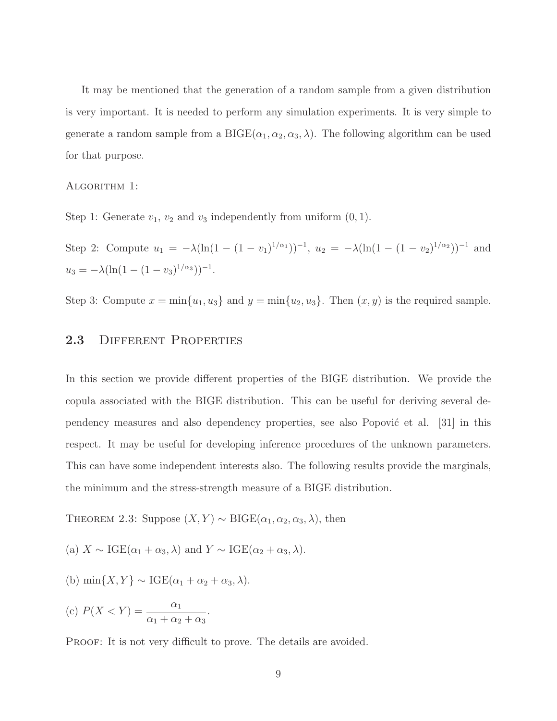It may be mentioned that the generation of a random sample from a given distribution is very important. It is needed to perform any simulation experiments. It is very simple to generate a random sample from a BIGE $(\alpha_1, \alpha_2, \alpha_3, \lambda)$ . The following algorithm can be used for that purpose.

ALGORITHM 1:

Step 1: Generate  $v_1, v_2$  and  $v_3$  independently from uniform  $(0, 1)$ .

Step 2: Compute  $u_1 = -\lambda(\ln(1-(1-v_1)^{1/\alpha_1}))^{-1}$ ,  $u_2 = -\lambda(\ln(1-(1-v_2)^{1/\alpha_2}))^{-1}$  and  $u_3 = -\lambda(\ln(1-(1-v_3)^{1/\alpha_3}))^{-1}.$ 

Step 3: Compute  $x = \min\{u_1, u_3\}$  and  $y = \min\{u_2, u_3\}$ . Then  $(x, y)$  is the required sample.

### 2.3 DIFFERENT PROPERTIES

In this section we provide different properties of the BIGE distribution. We provide the copula associated with the BIGE distribution. This can be useful for deriving several dependency measures and also dependency properties, see also Popović et al.  $|31|$  in this respect. It may be useful for developing inference procedures of the unknown parameters. This can have some independent interests also. The following results provide the marginals, the minimum and the stress-strength measure of a BIGE distribution.

THEOREM 2.3: Suppose  $(X, Y) \sim \text{BIGE}(\alpha_1, \alpha_2, \alpha_3, \lambda)$ , then

(a) 
$$
X \sim \text{IGE}(\alpha_1 + \alpha_3, \lambda)
$$
 and  $Y \sim \text{IGE}(\alpha_2 + \alpha_3, \lambda)$ .

(b) 
$$
\min\{X, Y\} \sim \text{IGE}(\alpha_1 + \alpha_2 + \alpha_3, \lambda).
$$

(c) 
$$
P(X < Y) = \frac{\alpha_1}{\alpha_1 + \alpha_2 + \alpha_3}.
$$

PROOF: It is not very difficult to prove. The details are avoided.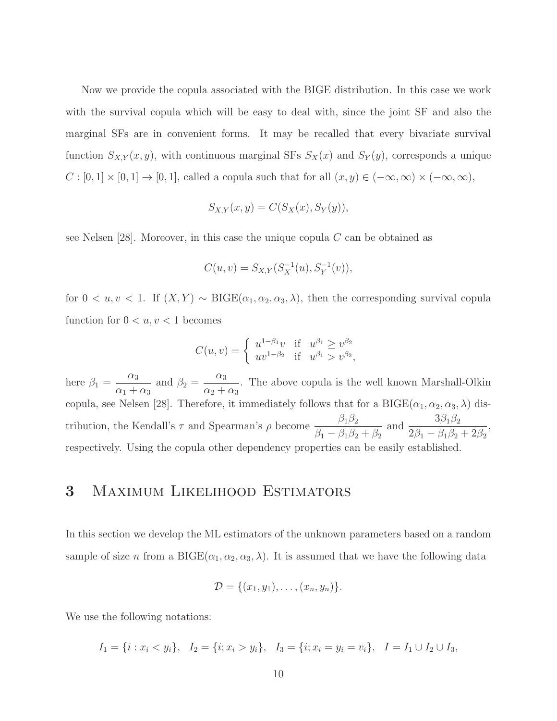Now we provide the copula associated with the BIGE distribution. In this case we work with the survival copula which will be easy to deal with, since the joint SF and also the marginal SFs are in convenient forms. It may be recalled that every bivariate survival function  $S_{X,Y}(x, y)$ , with continuous marginal SFs  $S_X(x)$  and  $S_Y(y)$ , corresponds a unique  $C : [0,1] \times [0,1] \to [0,1]$ , called a copula such that for all  $(x, y) \in (-\infty, \infty) \times (-\infty, \infty)$ ,

$$
S_{X,Y}(x,y) = C(S_X(x), S_Y(y)),
$$

see Nelsen [28]. Moreover, in this case the unique copula  $C$  can be obtained as

$$
C(u, v) = S_{X,Y}(S_X^{-1}(u), S_Y^{-1}(v)),
$$

for  $0 < u, v < 1$ . If  $(X, Y) \sim \text{BIGE}(\alpha_1, \alpha_2, \alpha_3, \lambda)$ , then the corresponding survival copula function for  $0 < u, v < 1$  becomes

$$
C(u, v) = \begin{cases} u^{1-\beta_1}v & \text{if } u^{\beta_1} \ge v^{\beta_2} \\ uv^{1-\beta_2} & \text{if } u^{\beta_1} > v^{\beta_2}, \end{cases}
$$

here  $\beta_1 =$  $\alpha_3$  $\alpha_1 + \alpha_3$ and  $\beta_2 =$  $\alpha_3$  $\frac{a_3}{\alpha_2 + \alpha_3}$ . The above copula is the well known Marshall-Olkin copula, see Nelsen [28]. Therefore, it immediately follows that for a  $BIGE(\alpha_1, \alpha_2, \alpha_3, \lambda)$  distribution, the Kendall's  $\tau$  and Spearman's  $\rho$  become  $\frac{\beta_1 \beta_2}{\beta_2 \beta_3}$  $\beta_1 - \beta_1\beta_2 + \beta_2$ and  $\frac{3\beta_1\beta_2}{2\beta_1\beta_2}$  $\frac{3\beta_1 - \beta_1\beta_2}{2\beta_1 - \beta_1\beta_2 + 2\beta_2},$ respectively. Using the copula other dependency properties can be easily established.

### 3 Maximum Likelihood Estimators

In this section we develop the ML estimators of the unknown parameters based on a random sample of size *n* from a BIGE( $\alpha_1, \alpha_2, \alpha_3, \lambda$ ). It is assumed that we have the following data

$$
\mathcal{D} = \{(x_1,y_1),\ldots,(x_n,y_n)\}.
$$

We use the following notations:

$$
I_1 = \{i : x_i < y_i\}, \quad I_2 = \{i; x_i > y_i\}, \quad I_3 = \{i; x_i = y_i = v_i\}, \quad I = I_1 \cup I_2 \cup I_3,
$$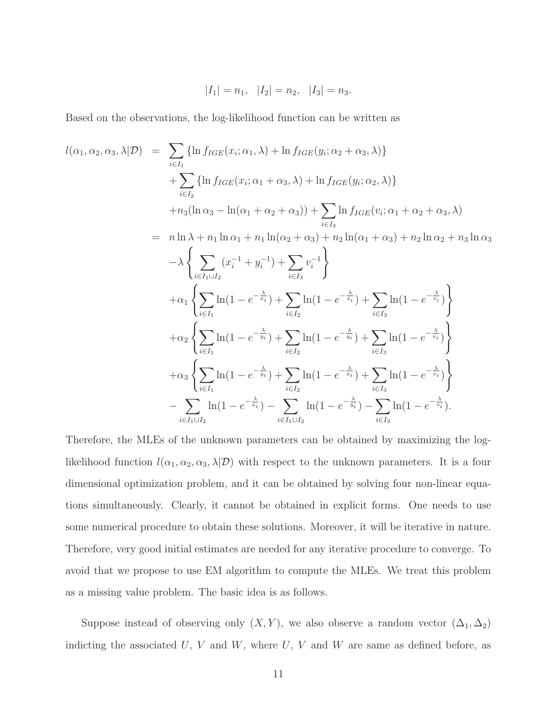$$
|I_1| = n_1, |I_2| = n_2, |I_3| = n_3.
$$

Based on the observations, the log-likelihood function can be written as

$$
l(\alpha_1, \alpha_2, \alpha_3, \lambda | \mathcal{D}) = \sum_{i \in I_1} \{ \ln f_{IGE}(x_i; \alpha_1, \lambda) + \ln f_{IGE}(y_i; \alpha_2 + \alpha_3, \lambda) \} + \sum_{i \in I_2} \{ \ln f_{IGE}(x_i; \alpha_1 + \alpha_3, \lambda) + \ln f_{IGE}(y_i; \alpha_2, \lambda) \} + n_3(\ln \alpha_3 - \ln(\alpha_1 + \alpha_2 + \alpha_3)) + \sum_{i \in I_3} \ln f_{IGE}(v_i; \alpha_1 + \alpha_2 + \alpha_3, \lambda) = n \ln \lambda + n_1 \ln \alpha_1 + n_1 \ln(\alpha_2 + \alpha_3) + n_2 \ln(\alpha_1 + \alpha_3) + n_2 \ln \alpha_2 + n_3 \ln \alpha_3 - \lambda \left\{ \sum_{i \in I_1 \cup I_2} (x_i^{-1} + y_i^{-1}) + \sum_{i \in I_3} v_i^{-1} \right\} + \alpha_1 \left\{ \sum_{i \in I_1} \ln(1 - e^{-\frac{\lambda}{x_i}}) + \sum_{i \in I_2} \ln(1 - e^{-\frac{\lambda}{x_i}}) + \sum_{i \in I_3} \ln(1 - e^{-\frac{\lambda}{v_i}}) \right\} + \alpha_2 \left\{ \sum_{i \in I_1} \ln(1 - e^{-\frac{\lambda}{y_i}}) + \sum_{i \in I_2} \ln(1 - e^{-\frac{\lambda}{y_i}}) + \sum_{i \in I_3} \ln(1 - e^{-\frac{\lambda}{v_i}}) \right\} + \alpha_3 \left\{ \sum_{i \in I_1} \ln(1 - e^{-\frac{\lambda}{y_i}}) + \sum_{i \in I_2} \ln(1 - e^{-\frac{\lambda}{x_i}}) + \sum_{i \in I_3} \ln(1 - e^{-\frac{\lambda}{v_i}}) \right\} - \sum_{i \in I_1 \cup I_2} \ln(1 - e^{-\frac{\lambda}{x_i}}) - \sum_{i \in I_1 \cup I_2} \ln(1 - e^{-\frac{\lambda}{y_i}}) - \sum_{i \in I_3} \ln(1 - e^{-\frac{\lambda}{y_i}}).
$$

Therefore, the MLEs of the unknown parameters can be obtained by maximizing the loglikelihood function  $l(\alpha_1, \alpha_2, \alpha_3, \lambda | \mathcal{D})$  with respect to the unknown parameters. It is a four dimensional optimization problem, and it can be obtained by solving four non-linear equations simultaneously. Clearly, it cannot be obtained in explicit forms. One needs to use some numerical procedure to obtain these solutions. Moreover, it will be iterative in nature. Therefore, very good initial estimates are needed for any iterative procedure to converge. To avoid that we propose to use EM algorithm to compute the MLEs. We treat this problem as a missing value problem. The basic idea is as follows.

Suppose instead of observing only  $(X, Y)$ , we also observe a random vector  $(\Delta_1, \Delta_2)$ indicting the associated  $U, V$  and  $W$ , where  $U, V$  and  $W$  are same as defined before, as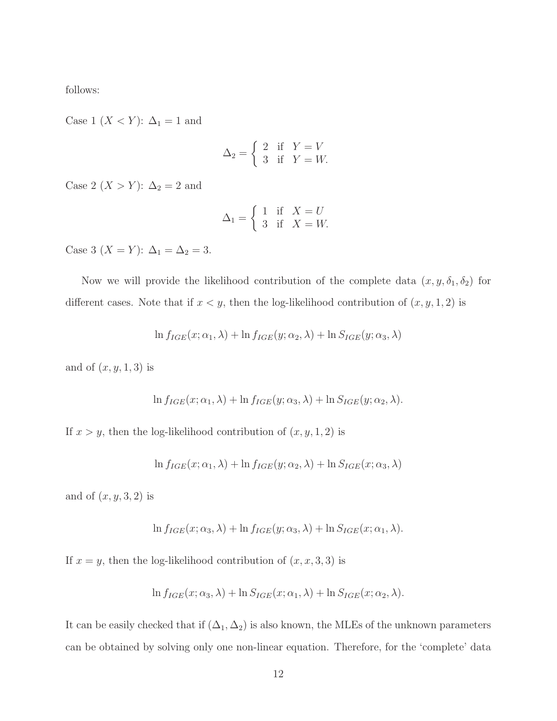follows:

Case 1 ( $X < Y$ ):  $\Delta_1 = 1$  and

$$
\Delta_2 = \begin{cases} 2 & \text{if } Y = V \\ 3 & \text{if } Y = W. \end{cases}
$$

Case 2 (*X* > *Y*):  $\Delta_2 = 2$  and

$$
\Delta_1 = \begin{cases} 1 & \text{if } X = U \\ 3 & \text{if } X = W. \end{cases}
$$

Case 3 (*X* = *Y*):  $\Delta_1 = \Delta_2 = 3$ .

Now we will provide the likelihood contribution of the complete data  $(x, y, \delta_1, \delta_2)$  for different cases. Note that if  $x < y$ , then the log-likelihood contribution of  $(x, y, 1, 2)$  is

$$
\ln f_{IGE}(x; \alpha_1, \lambda) + \ln f_{IGE}(y; \alpha_2, \lambda) + \ln S_{IGE}(y; \alpha_3, \lambda)
$$

and of  $(x, y, 1, 3)$  is

$$
\ln f_{IGE}(x; \alpha_1, \lambda) + \ln f_{IGE}(y; \alpha_3, \lambda) + \ln S_{IGE}(y; \alpha_2, \lambda).
$$

If  $x > y$ , then the log-likelihood contribution of  $(x, y, 1, 2)$  is

$$
\ln f_{IGE}(x; \alpha_1, \lambda) + \ln f_{IGE}(y; \alpha_2, \lambda) + \ln S_{IGE}(x; \alpha_3, \lambda)
$$

and of  $(x, y, 3, 2)$  is

$$
\ln f_{IGE}(x; \alpha_3, \lambda) + \ln f_{IGE}(y; \alpha_3, \lambda) + \ln S_{IGE}(x; \alpha_1, \lambda).
$$

If  $x = y$ , then the log-likelihood contribution of  $(x, x, 3, 3)$  is

$$
\ln f_{IGE}(x; \alpha_3, \lambda) + \ln S_{IGE}(x; \alpha_1, \lambda) + \ln S_{IGE}(x; \alpha_2, \lambda).
$$

It can be easily checked that if  $(\Delta_1, \Delta_2)$  is also known, the MLEs of the unknown parameters can be obtained by solving only one non-linear equation. Therefore, for the 'complete' data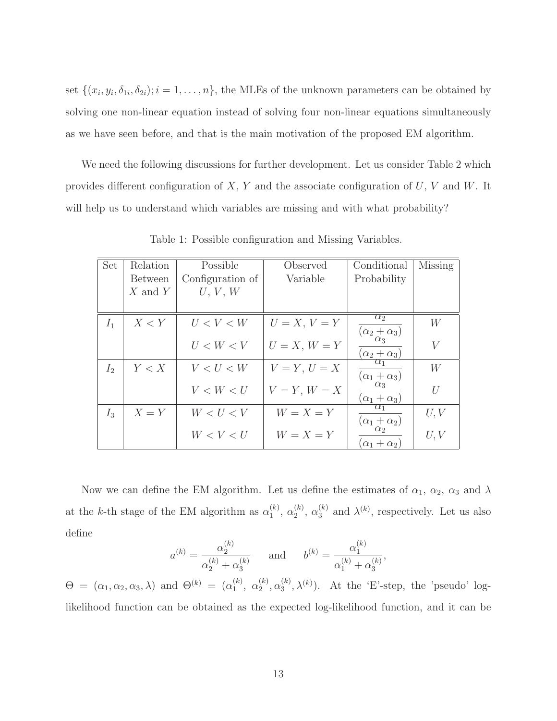set  $\{(x_i, y_i, \delta_{1i}, \delta_{2i}); i = 1, \ldots, n\}$ , the MLEs of the unknown parameters can be obtained by solving one non-linear equation instead of solving four non-linear equations simultaneously as we have seen before, and that is the main motivation of the proposed EM algorithm.

We need the following discussions for further development. Let us consider Table 2 which provides different configuration of  $X, Y$  and the associate configuration of  $U, V$  and  $W$ . It will help us to understand which variables are missing and with what probability?

| Set            | Relation       | Possible         | Observed       | Conditional                           | Missing |
|----------------|----------------|------------------|----------------|---------------------------------------|---------|
|                | <b>Between</b> | Configuration of | Variable       | Probability                           |         |
|                | $X$ and $Y$    | U, V, W          |                |                                       |         |
|                |                |                  |                |                                       |         |
| $I_1$          | X < Y          | U < V < W        | $U=X, V=Y$     | $\alpha_2$<br>$(\alpha_2+\alpha_3)$   | W       |
|                |                | U < W < V        | $U = X, W = Y$ | $\alpha_3$<br>$(\alpha_2+\alpha_3)$   | V       |
| I <sub>2</sub> | Y < X          | V < U < W        | $V = Y, U = X$ | $\alpha_1$<br>$(\alpha_1+\alpha_3)$   | W       |
|                |                | V < W < U        | $V = Y, W = X$ | $\alpha_3$<br>$(\alpha_1 + \alpha_3)$ | U       |
| $I_3$          | $X = Y$        | W < U < V        | $W = X = Y$    | $\alpha_1$<br>$(\alpha_1 + \alpha_2)$ | U, V    |
|                |                | W < V < U        | $W = X = Y$    | $(\alpha_1 + \alpha_2)$               | U, V    |

Table 1: Possible configuration and Missing Variables.

Now we can define the EM algorithm. Let us define the estimates of  $\alpha_1$ ,  $\alpha_2$ ,  $\alpha_3$  and  $\lambda$ at the k-th stage of the EM algorithm as  $\alpha_1^{(k)}$  $\binom{k}{1}$ ,  $\alpha_2^{(k)}$  $\binom{k}{2}$ ,  $\alpha_3^{(k)}$  $\lambda^{(k)}$ , respectively. Let us also define

$$
a^{(k)} = \frac{\alpha_2^{(k)}}{\alpha_2^{(k)} + \alpha_3^{(k)}}
$$
 and  $b^{(k)} = \frac{\alpha_1^{(k)}}{\alpha_1^{(k)} + \alpha_3^{(k)}}$ ,

 $\Theta = (\alpha_1, \alpha_2, \alpha_3, \lambda)$  and  $\Theta^{(k)} = (\alpha_1^{(k)})$  $\binom{k}{1}$ ,  $\alpha_2^{(k)}$  $_{2}^{(k)}, \alpha_{3}^{(k)}$  $\mathcal{L}_{3}^{(k)}$ ,  $\lambda^{(k)}$ ). At the 'E'-step, the 'pseudo' loglikelihood function can be obtained as the expected log-likelihood function, and it can be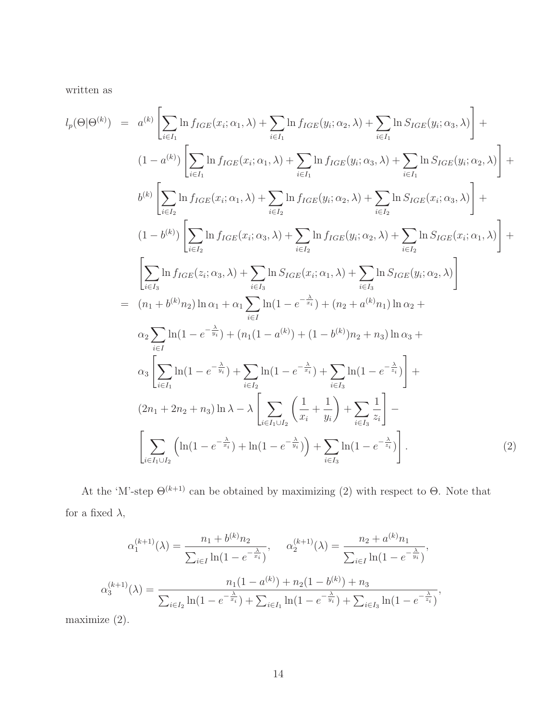written as

$$
l_{p}(\Theta|\Theta^{(k)}) = a^{(k)} \left[ \sum_{i \in I_{1}} \ln f_{IGE}(x_{i}; \alpha_{1}, \lambda) + \sum_{i \in I_{1}} \ln f_{IGE}(y_{i}; \alpha_{2}, \lambda) + \sum_{i \in I_{1}} \ln S_{IGE}(y_{i}; \alpha_{3}, \lambda) \right] +
$$
  
\n
$$
(1 - a^{(k)}) \left[ \sum_{i \in I_{1}} \ln f_{IGE}(x_{i}; \alpha_{1}, \lambda) + \sum_{i \in I_{1}} \ln f_{IGE}(y_{i}; \alpha_{3}, \lambda) + \sum_{i \in I_{1}} \ln S_{IGE}(y_{i}; \alpha_{2}, \lambda) \right] +
$$
  
\n
$$
b^{(k)} \left[ \sum_{i \in I_{2}} \ln f_{IGE}(x_{i}; \alpha_{1}, \lambda) + \sum_{i \in I_{2}} \ln f_{IGE}(y_{i}; \alpha_{2}, \lambda) + \sum_{i \in I_{2}} \ln S_{IGE}(x_{i}; \alpha_{3}, \lambda) \right] +
$$
  
\n
$$
(1 - b^{(k)}) \left[ \sum_{i \in I_{2}} \ln f_{IGE}(x_{i}; \alpha_{3}, \lambda) + \sum_{i \in I_{2}} \ln f_{IGE}(y_{i}; \alpha_{2}, \lambda) + \sum_{i \in I_{2}} \ln S_{IGE}(x_{i}; \alpha_{1}, \lambda) \right] +
$$
  
\n
$$
\left[ \sum_{i \in I_{3}} \ln f_{IGE}(z_{i}; \alpha_{3}, \lambda) + \sum_{i \in I_{3}} \ln S_{IGE}(x_{i}; \alpha_{1}, \lambda) + \sum_{i \in I_{3}} \ln S_{IGE}(y_{i}; \alpha_{2}, \lambda) \right]
$$
  
\n
$$
= (n_{1} + b^{(k)}n_{2}) \ln \alpha_{1} + \alpha_{1} \sum_{i \in I_{1}} \ln(1 - e^{-\frac{\lambda}{\alpha_{i}}}) + (n_{2} + a^{(k)}n_{1}) \ln \alpha_{2} +
$$
  
\n
$$
\alpha_{2} \sum_{i \in I_{1}} \ln(1 - e^{-\frac{\lambda}{y_{i}}}) + \sum_{i \in I_{2}} \ln(1 - e^{-\frac{\lambda}{x_{i}}}) + \sum_{i \in I_{3}} \ln(1 - e^{-\frac{\lambda}{x_{i}}}) + \sum_{i
$$

At the 'M'-step  $\Theta^{(k+1)}$  can be obtained by maximizing (2) with respect to  $\Theta$ . Note that for a fixed  $\lambda,$ 

$$
\alpha_1^{(k+1)}(\lambda) = \frac{n_1 + b^{(k)}n_2}{\sum_{i \in I} \ln(1 - e^{-\frac{\lambda}{x_i}})}, \quad \alpha_2^{(k+1)}(\lambda) = \frac{n_2 + a^{(k)}n_1}{\sum_{i \in I} \ln(1 - e^{-\frac{\lambda}{y_i}})},
$$

$$
\alpha_3^{(k+1)}(\lambda) = \frac{n_1(1 - a^{(k)}) + n_2(1 - b^{(k)}) + n_3}{\sum_{i \in I_2} \ln(1 - e^{-\frac{\lambda}{x_i}}) + \sum_{i \in I_1} \ln(1 - e^{-\frac{\lambda}{y_i}}) + \sum_{i \in I_3} \ln(1 - e^{-\frac{\lambda}{z_i}})},
$$

maximize (2).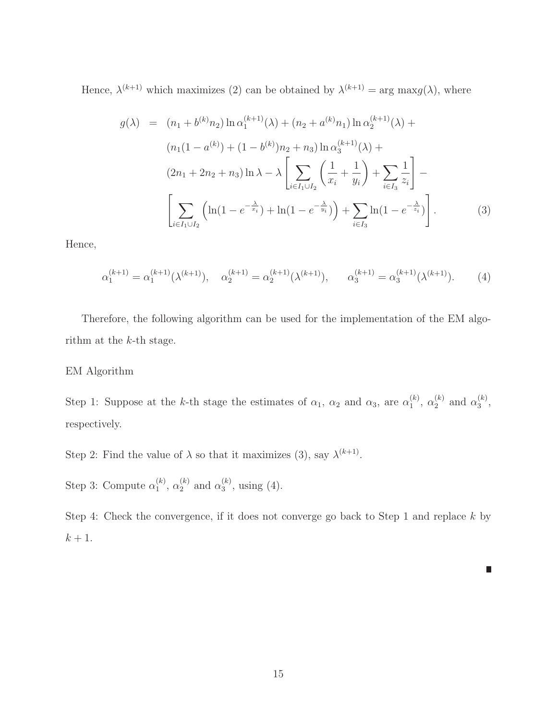Hence,  $\lambda^{(k+1)}$  which maximizes (2) can be obtained by  $\lambda^{(k+1)} = \arg \max g(\lambda)$ , where

$$
g(\lambda) = (n_1 + b^{(k)}n_2) \ln \alpha_1^{(k+1)}(\lambda) + (n_2 + a^{(k)}n_1) \ln \alpha_2^{(k+1)}(\lambda) + (n_1(1 - a^{(k)}) + (1 - b^{(k)})n_2 + n_3) \ln \alpha_3^{(k+1)}(\lambda) + (2n_1 + 2n_2 + n_3) \ln \lambda - \lambda \left[ \sum_{i \in I_1 \cup I_2} \left( \frac{1}{x_i} + \frac{1}{y_i} \right) + \sum_{i \in I_3} \frac{1}{z_i} \right] - \left[ \sum_{i \in I_1 \cup I_2} \left( \ln(1 - e^{-\frac{\lambda}{x_i}}) + \ln(1 - e^{-\frac{\lambda}{y_i}}) \right) + \sum_{i \in I_3} \ln(1 - e^{-\frac{\lambda}{z_i}}) \right].
$$
 (3)

Hence,

$$
\alpha_1^{(k+1)} = \alpha_1^{(k+1)}(\lambda^{(k+1)}), \quad \alpha_2^{(k+1)} = \alpha_2^{(k+1)}(\lambda^{(k+1)}), \quad \alpha_3^{(k+1)} = \alpha_3^{(k+1)}(\lambda^{(k+1)}).
$$
 (4)

Therefore, the following algorithm can be used for the implementation of the EM algorithm at the  $k$ -th stage.

#### EM Algorithm

Step 1: Suppose at the k-th stage the estimates of  $\alpha_1$ ,  $\alpha_2$  and  $\alpha_3$ , are  $\alpha_1^{(k)}$  $\binom{k}{1}$ ,  $\alpha_2^{(k)}$  $\binom{k}{2}$  and  $\alpha_3^{(k)}$  $\frac{(\kappa)}{3},$ respectively.

Step 2: Find the value of  $\lambda$  so that it maximizes (3), say  $\lambda^{(k+1)}$ .

Step 3: Compute  $\alpha_1^{(k)}$  $\binom{k}{1}, \ \alpha_2^{(k)}$  $\binom{k}{2}$  and  $\alpha_3^{(k)}$  $_{3}^{(\kappa)}$ , using (4).

Step 4: Check the convergence, if it does not converge go back to Step 1 and replace  $k$  by  $k+1.$ 

D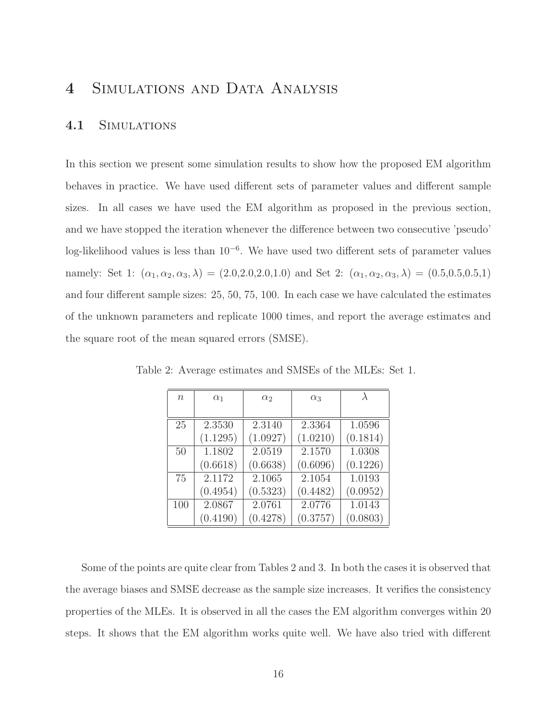# 4 SIMULATIONS AND DATA ANALYSIS

#### 4.1 Simulations

In this section we present some simulation results to show how the proposed EM algorithm behaves in practice. We have used different sets of parameter values and different sample sizes. In all cases we have used the EM algorithm as proposed in the previous section, and we have stopped the iteration whenever the difference between two consecutive 'pseudo' log-likelihood values is less than 10<sup>-6</sup>. We have used two different sets of parameter values namely: Set 1:  $(\alpha_1, \alpha_2, \alpha_3, \lambda) = (2.0, 2.0, 2.0, 1.0)$  and Set 2:  $(\alpha_1, \alpha_2, \alpha_3, \lambda) = (0.5, 0.5, 0.5, 1)$ and four different sample sizes: 25, 50, 75, 100. In each case we have calculated the estimates of the unknown parameters and replicate 1000 times, and report the average estimates and the square root of the mean squared errors (SMSE).

| $n_{\rm}$ | $\alpha_1$ | $\alpha_2$ | $\alpha_3$ |          |
|-----------|------------|------------|------------|----------|
|           |            |            |            |          |
| 25        | 2.3530     | 2.3140     | 2.3364     | 1.0596   |
|           | (1.1295)   | (1.0927)   | (1.0210)   | (0.1814) |
| 50        | 1.1802     | 2.0519     | 2.1570     | 1.0308   |
|           | (0.6618)   | (0.6638)   | (0.6096)   | (0.1226) |
| 75        | 2.1172     | 2.1065     | 2.1054     | 1.0193   |
|           | (0.4954)   | (0.5323)   | (0.4482)   | (0.0952) |
| 100       | 2.0867     | 2.0761     | 2.0776     | 1.0143   |
|           | (0.4190)   | (0.4278)   | (0.3757)   | (0.0803) |

Table 2: Average estimates and SMSEs of the MLEs: Set 1.

Some of the points are quite clear from Tables 2 and 3. In both the cases it is observed that the average biases and SMSE decrease as the sample size increases. It verifies the consistency properties of the MLEs. It is observed in all the cases the EM algorithm converges within 20 steps. It shows that the EM algorithm works quite well. We have also tried with different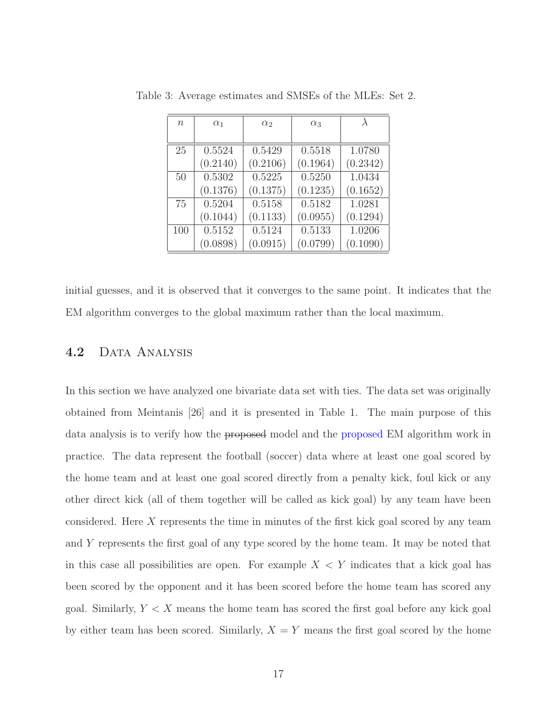| $\boldsymbol{n}$ | $\alpha_1$ | $\alpha_2$ | $\alpha_3$ |          |
|------------------|------------|------------|------------|----------|
|                  |            |            |            |          |
| 25               | 0.5524     | 0.5429     | 0.5518     | 1.0780   |
|                  | (0.2140)   | (0.2106)   | (0.1964)   | (0.2342) |
| 50               | 0.5302     | 0.5225     | 0.5250     | 1.0434   |
|                  | (0.1376)   | (0.1375)   | (0.1235)   | (0.1652) |
| 75               | 0.5204     | 0.5158     | 0.5182     | 1.0281   |
|                  | (0.1044)   | (0.1133)   | (0.0955)   | (0.1294) |
| 100              | 0.5152     | 0.5124     | 0.5133     | 1.0206   |
|                  | (0.0898)   | (0.0915)   | (0.0799)   | (0.1090) |

Table 3: Average estimates and SMSEs of the MLEs: Set 2.

initial guesses, and it is observed that it converges to the same point. It indicates that the EM algorithm converges to the global maximum rather than the local maximum.

### 4.2 DATA ANALYSIS

In this section we have analyzed one bivariate data set with ties. The data set was originally obtained from Meintanis [26] and it is presented in Table 1. The main purpose of this data analysis is to verify how the proposed model and the proposed EM algorithm work in practice. The data represent the football (soccer) data where at least one goal scored by the home team and at least one goal scored directly from a penalty kick, foul kick or any other direct kick (all of them together will be called as kick goal) by any team have been considered. Here X represents the time in minutes of the first kick goal scored by any team and Y represents the first goal of any type scored by the home team. It may be noted that in this case all possibilities are open. For example  $X < Y$  indicates that a kick goal has been scored by the opponent and it has been scored before the home team has scored any goal. Similarly,  $Y \leq X$  means the home team has scored the first goal before any kick goal by either team has been scored. Similarly,  $X = Y$  means the first goal scored by the home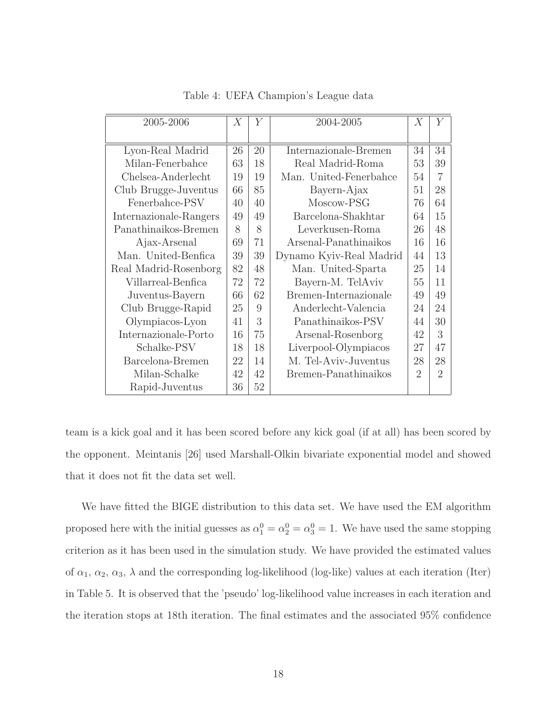| 2005-2006              |    | Υ  | 2004-2005               |                             | Y                           |
|------------------------|----|----|-------------------------|-----------------------------|-----------------------------|
|                        |    |    |                         |                             |                             |
| Lyon-Real Madrid       | 26 | 20 | Internazionale-Bremen   | 34                          | 34                          |
| Milan-Fenerbahce       | 63 | 18 | Real Madrid-Roma        | 53                          | 39                          |
| Chelsea-Anderlecht     | 19 | 19 | Man. United-Fenerbahce  | 54                          | $\overline{7}$              |
| Club Brugge-Juventus   | 66 | 85 | Bayern-Ajax             | 51                          | 28                          |
| Fenerbahce-PSV         | 40 | 40 | Moscow-PSG              | 76                          | 64                          |
| Internazionale-Rangers | 49 | 49 | Barcelona-Shakhtar      | 64                          | 15                          |
| Panathinaikos-Bremen   | 8  | 8  | Leverkusen-Roma         | 26                          | 48                          |
| Ajax-Arsenal           | 69 | 71 | Arsenal-Panathinaikos   | 16                          | 16                          |
| Man. United-Benfica    | 39 | 39 | Dynamo Kyiv-Real Madrid | 44                          | 13                          |
| Real Madrid-Rosenborg  | 82 | 48 | Man. United-Sparta      | 25                          | 14                          |
| Villarreal-Benfica     | 72 | 72 | Bayern-M. TelAviv       | 55                          | 11                          |
| Juventus-Bayern        | 66 | 62 | Bremen-Internazionale   | 49                          | 49                          |
| Club Brugge-Rapid      | 25 | 9  | Anderlecht-Valencia     | 24                          | 24                          |
| Olympiacos-Lyon        | 41 | 3  | Panathinaikos-PSV       | 44                          | 30                          |
| Internazionale-Porto   | 16 | 75 | Arsenal-Rosenborg       | 42                          | 3                           |
| Schalke-PSV            | 18 | 18 | Liverpool-Olympiacos    | 27                          | 47                          |
| Barcelona-Bremen       | 22 | 14 | M. Tel-Aviv-Juventus    | 28                          | 28                          |
| Milan-Schalke          | 42 | 42 | Bremen-Panathinaikos    | $\mathcal{D}_{\mathcal{A}}$ | $\mathcal{D}_{\mathcal{A}}$ |
| Rapid-Juventus         | 36 | 52 |                         |                             |                             |

Table 4: UEFA Champion's League data

team is a kick goal and it has been scored before any kick goal (if at all) has been scored by the opponent. Meintanis [26] used Marshall-Olkin bivariate exponential model and showed that it does not fit the data set well.

We have fitted the BIGE distribution to this data set. We have used the EM algorithm proposed here with the initial guesses as  $\alpha_1^0 = \alpha_2^0 = \alpha_3^0 = 1$ . We have used the same stopping criterion as it has been used in the simulation study. We have provided the estimated values of  $\alpha_1, \alpha_2, \alpha_3, \lambda$  and the corresponding log-likelihood (log-like) values at each iteration (Iter) in Table 5. It is observed that the 'pseudo' log-likelihood value increases in each iteration and the iteration stops at 18th iteration. The final estimates and the associated 95% confidence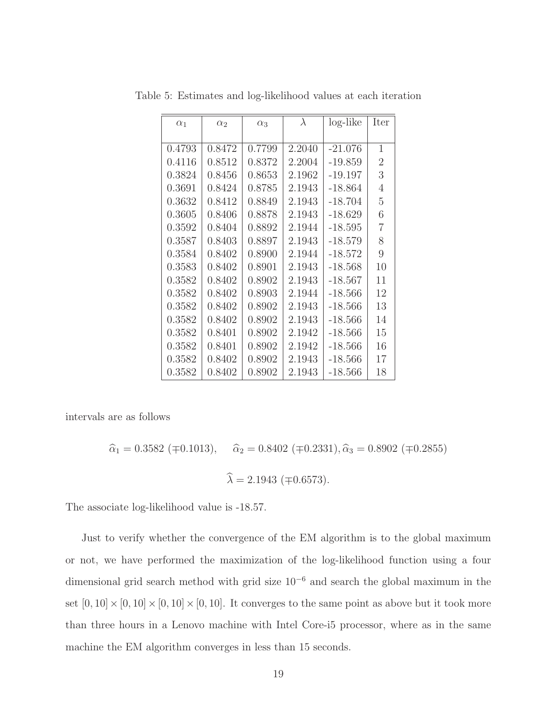| $\alpha_1$ | $\alpha_2$ | $\alpha_3$ | $\lambda$ | log-like  | Iter |
|------------|------------|------------|-----------|-----------|------|
|            |            |            |           |           |      |
| 0.4793     | 0.8472     | 0.7799     | 2.2040    | $-21.076$ | 1    |
| 0.4116     | 0.8512     | 0.8372     | 2.2004    | $-19.859$ | 2    |
| 0.3824     | 0.8456     | 0.8653     | 2.1962    | $-19.197$ | 3    |
| 0.3691     | 0.8424     | 0.8785     | 2.1943    | $-18.864$ | 4    |
| 0.3632     | 0.8412     | 0.8849     | 2.1943    | $-18.704$ | 5    |
| 0.3605     | 0.8406     | 0.8878     | 2.1943    | $-18.629$ | 6    |
| 0.3592     | 0.8404     | 0.8892     | 2.1944    | $-18.595$ | 7    |
| 0.3587     | 0.8403     | 0.8897     | 2.1943    | $-18.579$ | 8    |
| 0.3584     | 0.8402     | 0.8900     | 2.1944    | $-18.572$ | 9    |
| 0.3583     | 0.8402     | 0.8901     | 2.1943    | -18.568   | 10   |
| 0.3582     | 0.8402     | 0.8902     | 2.1943    | $-18.567$ | 11   |
| 0.3582     | 0.8402     | 0.8903     | 2.1944    | $-18.566$ | 12   |
| 0.3582     | 0.8402     | 0.8902     | 2.1943    | $-18.566$ | 13   |
| 0.3582     | 0.8402     | 0.8902     | 2.1943    | -18.566   | 14   |
| 0.3582     | 0.8401     | 0.8902     | 2.1942    | $-18.566$ | 15   |
| 0.3582     | 0.8401     | 0.8902     | 2.1942    | $-18.566$ | 16   |
| 0.3582     | 0.8402     | 0.8902     | 2.1943    | $-18.566$ | 17   |
| 0.3582     | 0.8402     | 0.8902     | 2.1943    | $-18.566$ | 18   |

Table 5: Estimates and log-likelihood values at each iteration

intervals are as follows

$$
\hat{\alpha}_1 = 0.3582 \ (\mp 0.1013), \quad \hat{\alpha}_2 = 0.8402 \ (\mp 0.2331), \hat{\alpha}_3 = 0.8902 \ (\mp 0.2855)
$$
\n
$$
\hat{\lambda} = 2.1943 \ (\mp 0.6573).
$$

The associate log-likelihood value is -18.57.

Just to verify whether the convergence of the EM algorithm is to the global maximum or not, we have performed the maximization of the log-likelihood function using a four dimensional grid search method with grid size 10<sup>−</sup><sup>6</sup> and search the global maximum in the set  $[0, 10] \times [0, 10] \times [0, 10] \times [0, 10]$ . It converges to the same point as above but it took more than three hours in a Lenovo machine with Intel Core-i5 processor, where as in the same machine the EM algorithm converges in less than 15 seconds.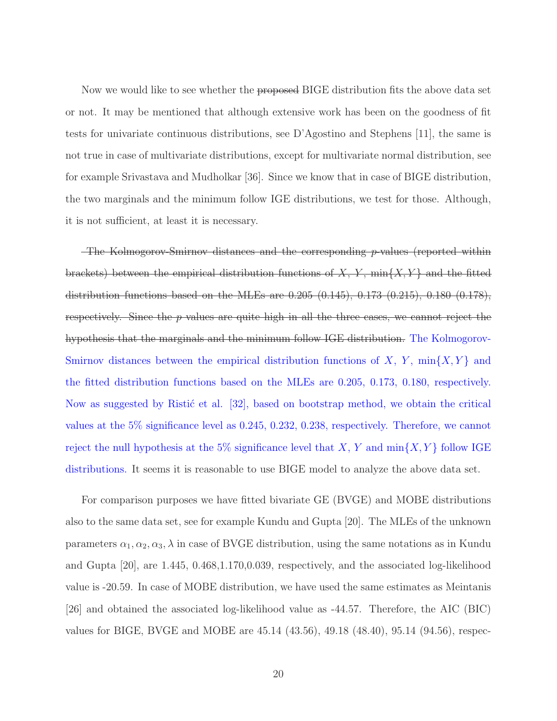Now we would like to see whether the <del>proposed</del> BIGE distribution fits the above data set or not. It may be mentioned that although extensive work has been on the goodness of fit tests for univariate continuous distributions, see D'Agostino and Stephens [11], the same is not true in case of multivariate distributions, except for multivariate normal distribution, see for example Srivastava and Mudholkar [36]. Since we know that in case of BIGE distribution, the two marginals and the minimum follow IGE distributions, we test for those. Although, it is not sufficient, at least it is necessary.

The Kolmogorov-Smirnov distances and the corresponding  $p$ -values (reported within brackets) between the empirical distribution functions of  $X, Y, \min\{X, Y\}$  and the fitted distribution functions based on the MLEs are 0.205 (0.145), 0.173 (0.215), 0.180 (0.178), respectively. Since the  $p$  values are quite high in all the three cases, we cannot reject the hypothesis that the marginals and the minimum follow IGE distribution. The Kolmogorov-Smirnov distances between the empirical distribution functions of X, Y,  $\min\{X, Y\}$  and the fitted distribution functions based on the MLEs are 0.205, 0.173, 0.180, respectively. Now as suggested by Ristic et al. [32], based on bootstrap method, we obtain the critical values at the 5% significance level as 0.245, 0.232, 0.238, respectively. Therefore, we cannot reject the null hypothesis at the 5% significance level that X, Y and  $\min\{X, Y\}$  follow IGE distributions. It seems it is reasonable to use BIGE model to analyze the above data set.

For comparison purposes we have fitted bivariate GE (BVGE) and MOBE distributions also to the same data set, see for example Kundu and Gupta [20]. The MLEs of the unknown parameters  $\alpha_1, \alpha_2, \alpha_3, \lambda$  in case of BVGE distribution, using the same notations as in Kundu and Gupta [20], are 1.445, 0.468,1.170,0.039, respectively, and the associated log-likelihood value is -20.59. In case of MOBE distribution, we have used the same estimates as Meintanis [26] and obtained the associated log-likelihood value as -44.57. Therefore, the AIC (BIC) values for BIGE, BVGE and MOBE are 45.14 (43.56), 49.18 (48.40), 95.14 (94.56), respec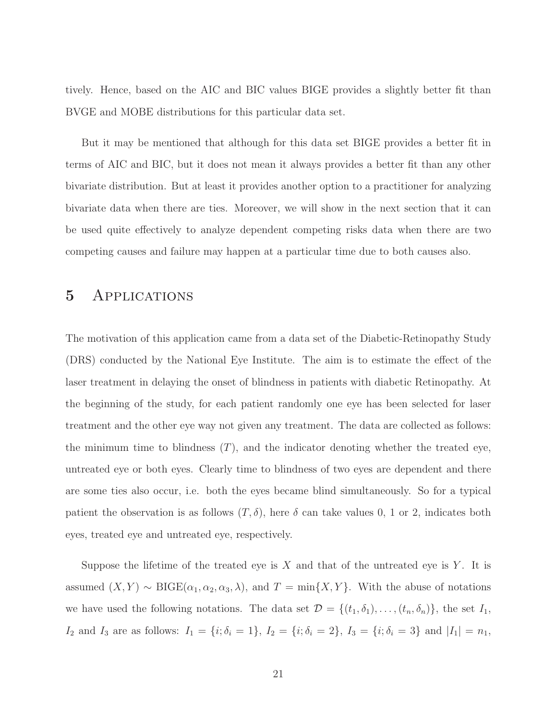tively. Hence, based on the AIC and BIC values BIGE provides a slightly better fit than BVGE and MOBE distributions for this particular data set.

But it may be mentioned that although for this data set BIGE provides a better fit in terms of AIC and BIC, but it does not mean it always provides a better fit than any other bivariate distribution. But at least it provides another option to a practitioner for analyzing bivariate data when there are ties. Moreover, we will show in the next section that it can be used quite effectively to analyze dependent competing risks data when there are two competing causes and failure may happen at a particular time due to both causes also.

### 5 Applications

The motivation of this application came from a data set of the Diabetic-Retinopathy Study (DRS) conducted by the National Eye Institute. The aim is to estimate the effect of the laser treatment in delaying the onset of blindness in patients with diabetic Retinopathy. At the beginning of the study, for each patient randomly one eye has been selected for laser treatment and the other eye way not given any treatment. The data are collected as follows: the minimum time to blindness  $(T)$ , and the indicator denoting whether the treated eye, untreated eye or both eyes. Clearly time to blindness of two eyes are dependent and there are some ties also occur, i.e. both the eyes became blind simultaneously. So for a typical patient the observation is as follows  $(T, \delta)$ , here  $\delta$  can take values 0, 1 or 2, indicates both eyes, treated eye and untreated eye, respectively.

Suppose the lifetime of the treated eye is X and that of the untreated eye is Y. It is assumed  $(X, Y) \sim \text{BIGE}(\alpha_1, \alpha_2, \alpha_3, \lambda)$ , and  $T = \min\{X, Y\}$ . With the abuse of notations we have used the following notations. The data set  $\mathcal{D} = \{(t_1, \delta_1), \ldots, (t_n, \delta_n)\}\)$ , the set  $I_1$ ,  $I_2$  and  $I_3$  are as follows:  $I_1 = \{i; \delta_i = 1\}$ ,  $I_2 = \{i; \delta_i = 2\}$ ,  $I_3 = \{i; \delta_i = 3\}$  and  $|I_1| = n_1$ ,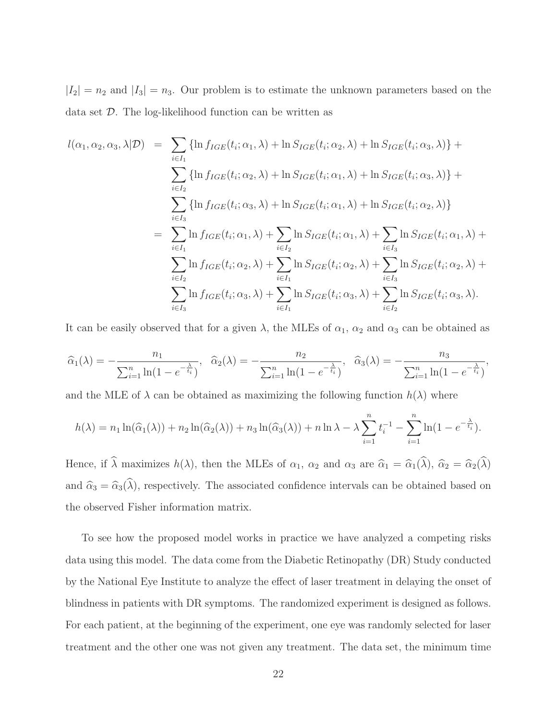$|I_2| = n_2$  and  $|I_3| = n_3$ . Our problem is to estimate the unknown parameters based on the data set D. The log-likelihood function can be written as

$$
l(\alpha_1, \alpha_2, \alpha_3, \lambda | \mathcal{D}) = \sum_{i \in I_1} \{ \ln f_{IGE}(t_i; \alpha_1, \lambda) + \ln S_{IGE}(t_i; \alpha_2, \lambda) + \ln S_{IGE}(t_i; \alpha_3, \lambda) \} + \sum_{i \in I_2} \{ \ln f_{IGE}(t_i; \alpha_2, \lambda) + \ln S_{IGE}(t_i; \alpha_1, \lambda) + \ln S_{IGE}(t_i; \alpha_3, \lambda) \} + \sum_{i \in I_3} \{ \ln f_{IGE}(t_i; \alpha_3, \lambda) + \ln S_{IGE}(t_i; \alpha_1, \lambda) + \ln S_{IGE}(t_i; \alpha_2, \lambda) \} - \sum_{i \in I_1} \ln f_{IGE}(t_i; \alpha_1, \lambda) + \sum_{i \in I_2} \ln S_{IGE}(t_i; \alpha_1, \lambda) + \sum_{i \in I_3} \ln S_{IGE}(t_i; \alpha_2, \lambda) + \sum_{i \in I_2} \ln f_{IGE}(t_i; \alpha_2, \lambda) + \sum_{i \in I_1} \ln S_{IGE}(t_i; \alpha_2, \lambda) + \sum_{i \in I_3} \ln f_{IGE}(t_i; \alpha_3, \lambda) + \sum_{i \in I_1} \ln S_{IGE}(t_i; \alpha_3, \lambda) + \sum_{i \in I_2} \ln S_{IGE}(t_i; \alpha_3, \lambda).
$$

It can be easily observed that for a given  $\lambda$ , the MLEs of  $\alpha_1$ ,  $\alpha_2$  and  $\alpha_3$  can be obtained as

$$
\widehat{\alpha}_1(\lambda) = -\frac{n_1}{\sum_{i=1}^n \ln(1 - e^{-\frac{\lambda}{t_i}})}, \quad \widehat{\alpha}_2(\lambda) = -\frac{n_2}{\sum_{i=1}^n \ln(1 - e^{-\frac{\lambda}{t_i}})}, \quad \widehat{\alpha}_3(\lambda) = -\frac{n_3}{\sum_{i=1}^n \ln(1 - e^{-\frac{\lambda}{t_i}})},
$$

and the MLE of  $\lambda$  can be obtained as maximizing the following function  $h(\lambda)$  where

$$
h(\lambda) = n_1 \ln(\widehat{\alpha}_1(\lambda)) + n_2 \ln(\widehat{\alpha}_2(\lambda)) + n_3 \ln(\widehat{\alpha}_3(\lambda)) + n \ln \lambda - \lambda \sum_{i=1}^n t_i^{-1} - \sum_{i=1}^n \ln(1 - e^{-\frac{\lambda}{t_i}}).
$$

Hence, if  $\hat{\lambda}$  maximizes  $h(\lambda)$ , then the MLEs of  $\alpha_1$ ,  $\alpha_2$  and  $\alpha_3$  are  $\hat{\alpha}_1 = \hat{\alpha}_1(\hat{\lambda})$ ,  $\hat{\alpha}_2 = \hat{\alpha}_2(\hat{\lambda})$ and  $\hat{\alpha}_3 = \hat{\alpha}_3(\hat{\lambda})$ , respectively. The associated confidence intervals can be obtained based on the observed Fisher information matrix.

To see how the proposed model works in practice we have analyzed a competing risks data using this model. The data come from the Diabetic Retinopathy (DR) Study conducted by the National Eye Institute to analyze the effect of laser treatment in delaying the onset of blindness in patients with DR symptoms. The randomized experiment is designed as follows. For each patient, at the beginning of the experiment, one eye was randomly selected for laser treatment and the other one was not given any treatment. The data set, the minimum time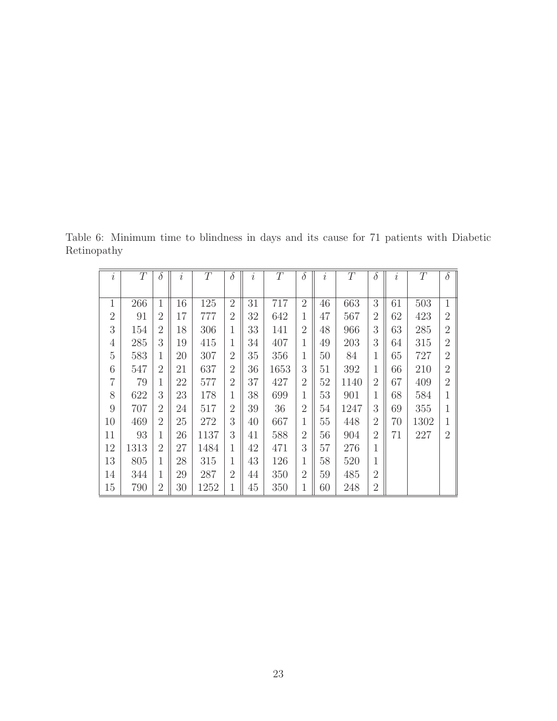Table 6: Minimum time to blindness in days and its cause for 71 patients with Diabetic Retinopathy

| $\dot{i}$      | T    | $\delta$       | $\dot{i}$ | T    | $\delta$       | $\dot{i}$ | T    | $\delta$       | $\dot{i}$ | T    | $\delta$       | $\dot{i}$ | T    | $\delta$       |
|----------------|------|----------------|-----------|------|----------------|-----------|------|----------------|-----------|------|----------------|-----------|------|----------------|
|                |      |                |           |      |                |           |      |                |           |      |                |           |      |                |
| $\mathbf{1}$   | 266  | 1              | 16        | 125  | $\overline{2}$ | 31        | 717  | $\overline{2}$ | 46        | 663  | 3              | 61        | 503  | $\mathbf 1$    |
| $\overline{2}$ | 91   | $\overline{2}$ | 17        | 777  | $\overline{2}$ | 32        | 642  | 1              | 47        | 567  | $\overline{2}$ | 62        | 423  | $\overline{2}$ |
| 3              | 154  | $\overline{2}$ | 18        | 306  | 1              | 33        | 141  | $\overline{2}$ | 48        | 966  | 3              | 63        | 285  | $\overline{2}$ |
| $\overline{4}$ | 285  | 3              | 19        | 415  | $\mathbf 1$    | 34        | 407  | 1              | 49        | 203  | 3              | 64        | 315  | $\overline{2}$ |
| 5              | 583  | 1              | 20        | 307  | $\overline{2}$ | 35        | 356  | 1              | 50        | 84   | $\mathbf{1}$   | 65        | 727  | $\overline{2}$ |
| 6              | 547  | $\overline{2}$ | 21        | 637  | $\overline{2}$ | 36        | 1653 | 3              | 51        | 392  | $\mathbf{1}$   | 66        | 210  | $\overline{2}$ |
| 7              | 79   | 1              | 22        | 577  | $\overline{2}$ | 37        | 427  | $\overline{2}$ | 52        | 1140 | $\overline{2}$ | 67        | 409  | $\overline{2}$ |
| 8              | 622  | 3              | 23        | 178  | 1              | 38        | 699  | 1              | 53        | 901  | 1              | 68        | 584  |                |
| 9              | 707  | $\overline{2}$ | 24        | 517  | $\overline{2}$ | 39        | 36   | $\overline{2}$ | 54        | 1247 | 3              | 69        | 355  |                |
| 10             | 469  | $\overline{2}$ | 25        | 272  | 3              | 40        | 667  | 1              | 55        | 448  | $\overline{2}$ | 70        | 1302 |                |
| 11             | 93   | $\mathbf{1}$   | 26        | 1137 | 3              | 41        | 588  | $\overline{2}$ | 56        | 904  | $\overline{2}$ | 71        | 227  | $\overline{2}$ |
| 12             | 1313 | $\overline{2}$ | 27        | 1484 | 1              | 42        | 471  | 3              | 57        | 276  | 1              |           |      |                |
| 13             | 805  | 1              | 28        | 315  | 1              | 43        | 126  | 1              | 58        | 520  | 1              |           |      |                |
| 14             | 344  | 1              | 29        | 287  | $\overline{2}$ | 44        | 350  | $\overline{2}$ | 59        | 485  | $\overline{2}$ |           |      |                |
| 15             | 790  | $\overline{2}$ | 30        | 1252 | 1              | 45        | 350  | T              | 60        | 248  | $\overline{2}$ |           |      |                |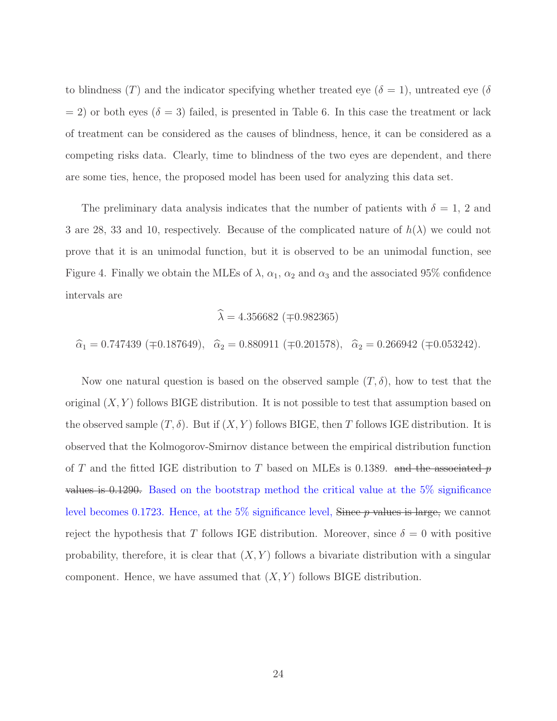to blindness (T) and the indicator specifying whether treated eye ( $\delta = 1$ ), untreated eye ( $\delta$  $= 2$ ) or both eyes ( $\delta = 3$ ) failed, is presented in Table 6. In this case the treatment or lack of treatment can be considered as the causes of blindness, hence, it can be considered as a competing risks data. Clearly, time to blindness of the two eyes are dependent, and there are some ties, hence, the proposed model has been used for analyzing this data set.

The preliminary data analysis indicates that the number of patients with  $\delta = 1, 2$  and 3 are 28, 33 and 10, respectively. Because of the complicated nature of  $h(\lambda)$  we could not prove that it is an unimodal function, but it is observed to be an unimodal function, see Figure 4. Finally we obtain the MLEs of  $\lambda$ ,  $\alpha_1$ ,  $\alpha_2$  and  $\alpha_3$  and the associated 95% confidence intervals are

$$
\widehat{\lambda} = 4.356682 \; (\mp 0.982365)
$$

 $\hat{\alpha}_1 = 0.747439 \ (\mp 0.187649), \ \hat{\alpha}_2 = 0.880911 \ (\mp 0.201578), \ \hat{\alpha}_2 = 0.266942 \ (\mp 0.053242).$ 

Now one natural question is based on the observed sample  $(T, \delta)$ , how to test that the original  $(X, Y)$  follows BIGE distribution. It is not possible to test that assumption based on the observed sample  $(T, \delta)$ . But if  $(X, Y)$  follows BIGE, then T follows IGE distribution. It is observed that the Kolmogorov-Smirnov distance between the empirical distribution function of T and the fitted IGE distribution to T based on MLEs is 0.1389. and the associated p values is 0.1290. Based on the bootstrap method the critical value at the 5% significance level becomes 0.1723. Hence, at the  $5\%$  significance level, Since  $p$  values is large, we cannot reject the hypothesis that T follows IGE distribution. Moreover, since  $\delta = 0$  with positive probability, therefore, it is clear that  $(X, Y)$  follows a bivariate distribution with a singular component. Hence, we have assumed that  $(X, Y)$  follows BIGE distribution.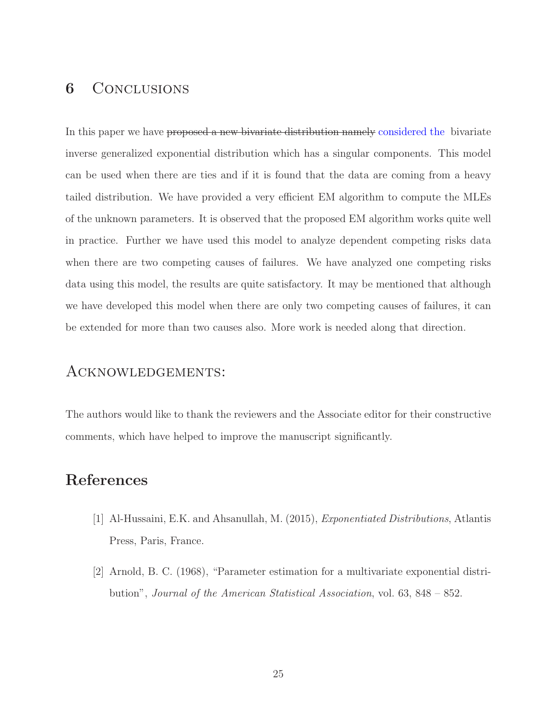## **6** CONCLUSIONS

In this paper we have proposed a new bivariate distribution namely considered the bivariate inverse generalized exponential distribution which has a singular components. This model can be used when there are ties and if it is found that the data are coming from a heavy tailed distribution. We have provided a very efficient EM algorithm to compute the MLEs of the unknown parameters. It is observed that the proposed EM algorithm works quite well in practice. Further we have used this model to analyze dependent competing risks data when there are two competing causes of failures. We have analyzed one competing risks data using this model, the results are quite satisfactory. It may be mentioned that although we have developed this model when there are only two competing causes of failures, it can be extended for more than two causes also. More work is needed along that direction.

### Acknowledgements:

The authors would like to thank the reviewers and the Associate editor for their constructive comments, which have helped to improve the manuscript significantly.

### References

- [1] Al-Hussaini, E.K. and Ahsanullah, M. (2015), Exponentiated Distributions, Atlantis Press, Paris, France.
- [2] Arnold, B. C. (1968), "Parameter estimation for a multivariate exponential distribution", Journal of the American Statistical Association, vol. 63, 848 – 852.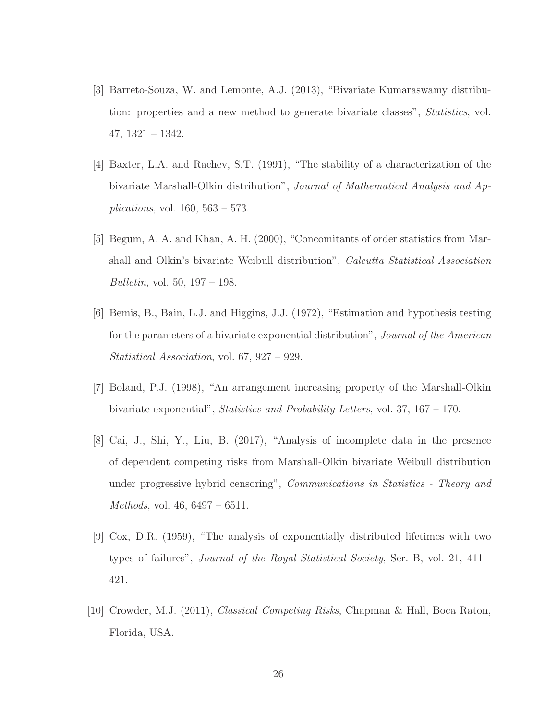- [3] Barreto-Souza, W. and Lemonte, A.J. (2013), "Bivariate Kumaraswamy distribution: properties and a new method to generate bivariate classes", Statistics, vol. 47, 1321 – 1342.
- [4] Baxter, L.A. and Rachev, S.T. (1991), "The stability of a characterization of the bivariate Marshall-Olkin distribution", Journal of Mathematical Analysis and Ap*plications*, vol.  $160, 563 - 573$ .
- [5] Begum, A. A. and Khan, A. H. (2000), "Concomitants of order statistics from Marshall and Olkin's bivariate Weibull distribution", Calcutta Statistical Association Bulletin, vol. 50, 197 – 198.
- [6] Bemis, B., Bain, L.J. and Higgins, J.J. (1972), "Estimation and hypothesis testing for the parameters of a bivariate exponential distribution", Journal of the American Statistical Association, vol. 67, 927 – 929.
- [7] Boland, P.J. (1998), "An arrangement increasing property of the Marshall-Olkin bivariate exponential", Statistics and Probability Letters, vol. 37, 167 – 170.
- [8] Cai, J., Shi, Y., Liu, B. (2017), "Analysis of incomplete data in the presence of dependent competing risks from Marshall-Olkin bivariate Weibull distribution under progressive hybrid censoring", *Communications in Statistics - Theory and* Methods, vol. 46, 6497 – 6511.
- [9] Cox, D.R. (1959), "The analysis of exponentially distributed lifetimes with two types of failures", Journal of the Royal Statistical Society, Ser. B, vol. 21, 411 - 421.
- [10] Crowder, M.J. (2011), Classical Competing Risks, Chapman & Hall, Boca Raton, Florida, USA.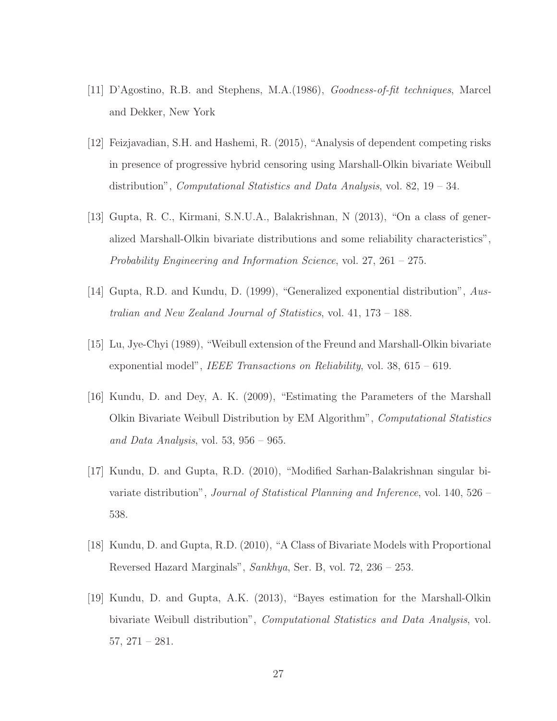- [11] D'Agostino, R.B. and Stephens, M.A.(1986), Goodness-of-fit techniques, Marcel and Dekker, New York
- [12] Feizjavadian, S.H. and Hashemi, R. (2015), "Analysis of dependent competing risks in presence of progressive hybrid censoring using Marshall-Olkin bivariate Weibull distribution", Computational Statistics and Data Analysis, vol. 82, 19 – 34.
- [13] Gupta, R. C., Kirmani, S.N.U.A., Balakrishnan, N (2013), "On a class of generalized Marshall-Olkin bivariate distributions and some reliability characteristics", Probability Engineering and Information Science, vol. 27, 261 – 275.
- [14] Gupta, R.D. and Kundu, D. (1999), "Generalized exponential distribution", Australian and New Zealand Journal of Statistics, vol. 41, 173 – 188.
- [15] Lu, Jye-Chyi (1989), "Weibull extension of the Freund and Marshall-Olkin bivariate exponential model", *IEEE Transactions on Reliability*, vol.  $38, 615 - 619$ .
- [16] Kundu, D. and Dey, A. K. (2009), "Estimating the Parameters of the Marshall Olkin Bivariate Weibull Distribution by EM Algorithm", Computational Statistics and Data Analysis, vol. 53,  $956 - 965$ .
- [17] Kundu, D. and Gupta, R.D. (2010), "Modified Sarhan-Balakrishnan singular bivariate distribution", Journal of Statistical Planning and Inference, vol. 140, 526 – 538.
- [18] Kundu, D. and Gupta, R.D. (2010), "A Class of Bivariate Models with Proportional Reversed Hazard Marginals", Sankhya, Ser. B, vol. 72, 236 – 253.
- [19] Kundu, D. and Gupta, A.K. (2013), "Bayes estimation for the Marshall-Olkin bivariate Weibull distribution", Computational Statistics and Data Analysis, vol. 57, 271 – 281.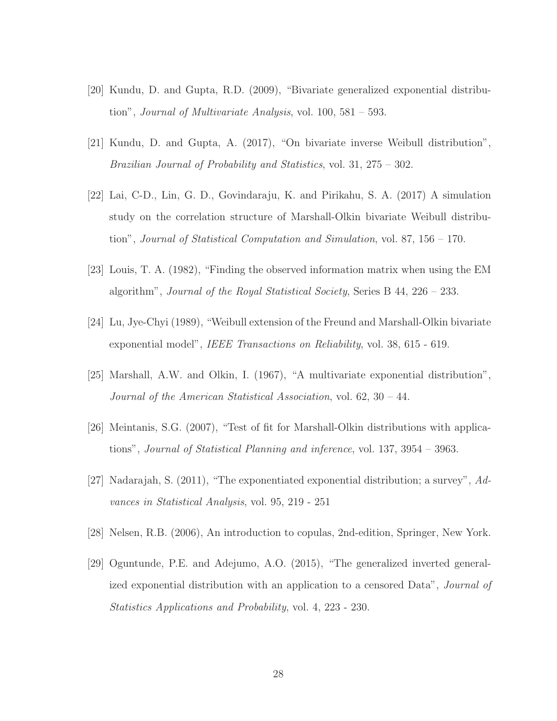- [20] Kundu, D. and Gupta, R.D. (2009), "Bivariate generalized exponential distribution", *Journal of Multivariate Analysis*, vol.  $100, 581 - 593$ .
- [21] Kundu, D. and Gupta, A. (2017), "On bivariate inverse Weibull distribution", Brazilian Journal of Probability and Statistics, vol. 31, 275 – 302.
- [22] Lai, C-D., Lin, G. D., Govindaraju, K. and Pirikahu, S. A. (2017) A simulation study on the correlation structure of Marshall-Olkin bivariate Weibull distribution", Journal of Statistical Computation and Simulation, vol. 87, 156 – 170.
- [23] Louis, T. A. (1982), "Finding the observed information matrix when using the EM algorithm", *Journal of the Royal Statistical Society*, Series B  $44, 226 - 233$ .
- [24] Lu, Jye-Chyi (1989), "Weibull extension of the Freund and Marshall-Olkin bivariate exponential model", IEEE Transactions on Reliability, vol. 38, 615 - 619.
- [25] Marshall, A.W. and Olkin, I. (1967), "A multivariate exponential distribution", Journal of the American Statistical Association, vol. 62, 30 – 44.
- [26] Meintanis, S.G. (2007), "Test of fit for Marshall-Olkin distributions with applications", Journal of Statistical Planning and inference, vol. 137, 3954 – 3963.
- [27] Nadarajah, S. (2011), "The exponentiated exponential distribution; a survey", Advances in Statistical Analysis, vol. 95, 219 - 251
- [28] Nelsen, R.B. (2006), An introduction to copulas, 2nd-edition, Springer, New York.
- [29] Oguntunde, P.E. and Adejumo, A.O. (2015), "The generalized inverted generalized exponential distribution with an application to a censored Data", *Journal of* Statistics Applications and Probability, vol. 4, 223 - 230.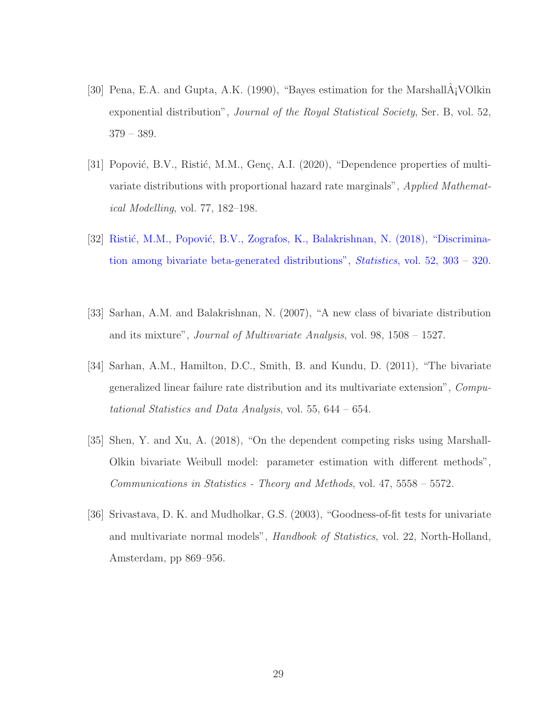- [30] Pena, E.A. and Gupta, A.K. (1990), "Bayes estimation for the Marshall $\hat{A}$ ; VOlkin exponential distribution", *Journal of the Royal Statistical Society*, Ser. B, vol. 52, 379 – 389.
- [31] Popović, B.V., Ristić, M.M., Genç, A.I. (2020), "Dependence properties of multivariate distributions with proportional hazard rate marginals", Applied Mathematical Modelling, vol. 77, 182–198.
- [32] Ristić, M.M., Popović, B.V., Zografos, K., Balakrishnan, N. (2018), "Discrimination among bivariate beta-generated distributions", Statistics, vol. 52, 303 – 320.
- [33] Sarhan, A.M. and Balakrishnan, N. (2007), "A new class of bivariate distribution and its mixture", Journal of Multivariate Analysis, vol. 98, 1508 – 1527.
- [34] Sarhan, A.M., Hamilton, D.C., Smith, B. and Kundu, D. (2011), "The bivariate generalized linear failure rate distribution and its multivariate extension", Computational Statistics and Data Analysis, vol. 55, 644 – 654.
- [35] Shen, Y. and Xu, A. (2018), "On the dependent competing risks using Marshall-Olkin bivariate Weibull model: parameter estimation with different methods", Communications in Statistics - Theory and Methods, vol. 47, 5558 – 5572.
- [36] Srivastava, D. K. and Mudholkar, G.S. (2003), "Goodness-of-fit tests for univariate and multivariate normal models", Handbook of Statistics, vol. 22, North-Holland, Amsterdam, pp 869–956.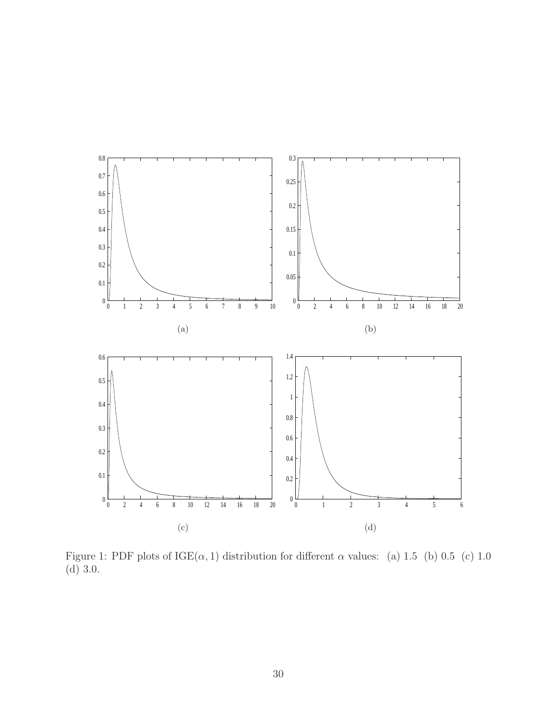

Figure 1: PDF plots of  $IGE(\alpha, 1)$  distribution for different  $\alpha$  values: (a) 1.5 (b) 0.5 (c) 1.0 (d) 3.0.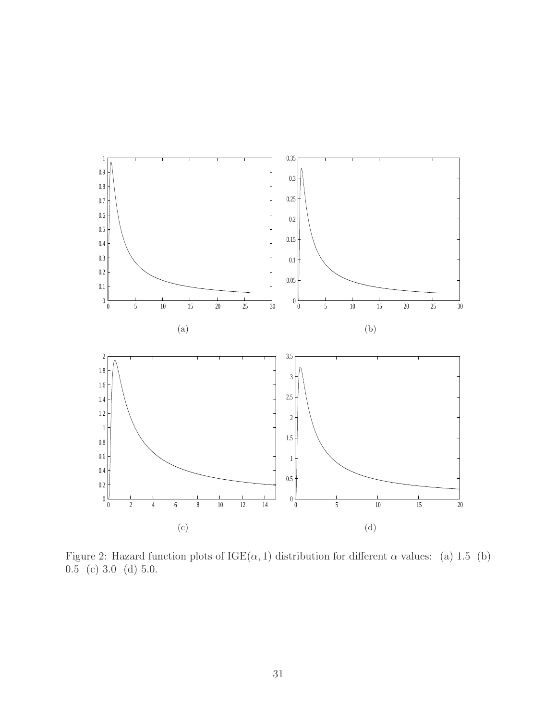

Figure 2: Hazard function plots of  $IGE(\alpha, 1)$  distribution for different  $\alpha$  values: (a) 1.5 (b)  $0.\bar{5}$  (c) 3.0 (d) 5.0.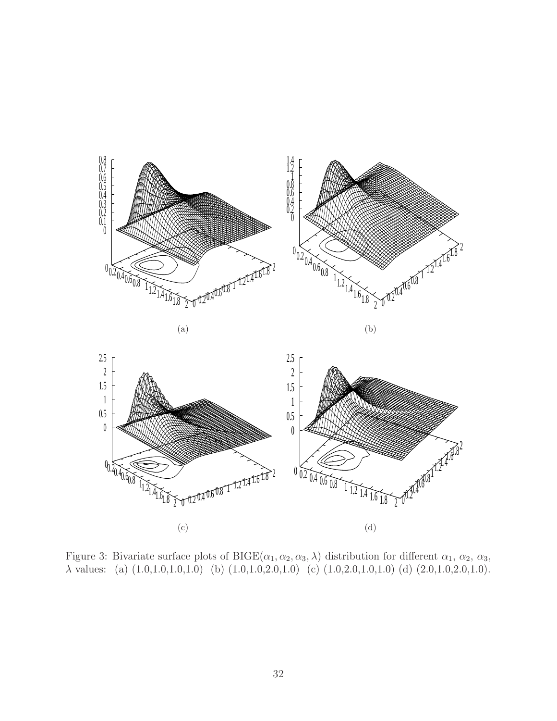



Figure 3: Bivariate surface plots of  $BIGE(\alpha_1, \alpha_2, \alpha_3, \lambda)$  distribution for different  $\alpha_1, \alpha_2, \alpha_3,$  $\lambda$  values: (a)  $(1.0,1.0,1.0,1.0)$  (b)  $(1.0,1.0,2.0,1.0)$  (c)  $(1.0,2.0,1.0,1.0)$  (d)  $(2.0,1.0,2.0,1.0)$ .